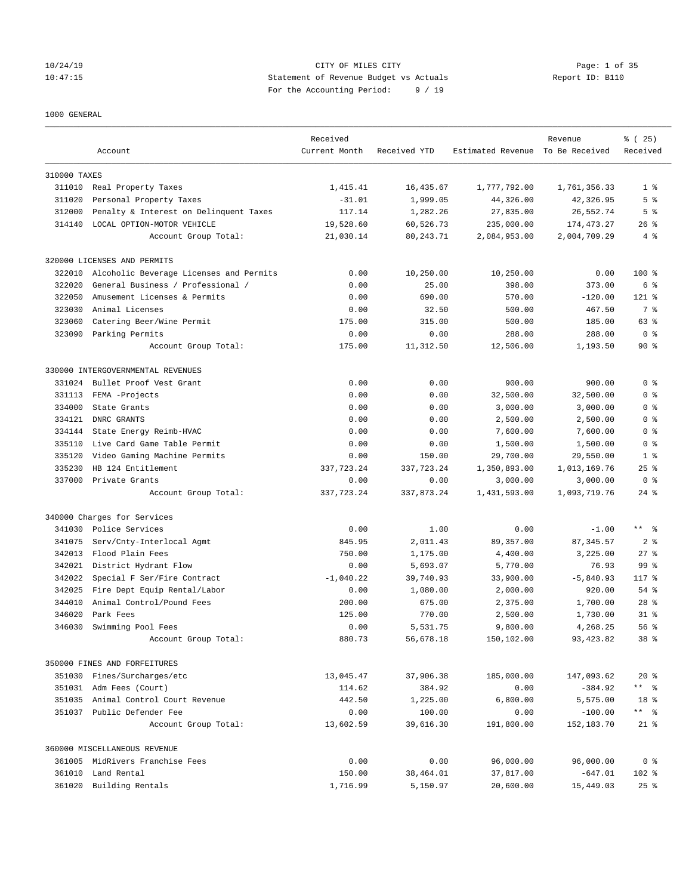## 10/24/19 CITY OF MILES CITY Page: 1 of 35 10:47:15 Statement of Revenue Budget vs Actuals Report ID: B110 For the Accounting Period: 9 / 19

#### 1000 GENERAL

|              | Account                                 | Received<br>Current Month | Received YTD | Estimated Revenue To Be Received | Revenue      | % (25)<br>Received |
|--------------|-----------------------------------------|---------------------------|--------------|----------------------------------|--------------|--------------------|
| 310000 TAXES |                                         |                           |              |                                  |              |                    |
|              | 311010 Real Property Taxes              | 1,415.41                  | 16,435.67    | 1,777,792.00                     | 1,761,356.33 | 1 <sup>8</sup>     |
| 311020       | Personal Property Taxes                 | $-31.01$                  | 1,999.05     | 44,326.00                        | 42,326.95    | 5 <sup>°</sup>     |
| 312000       | Penalty & Interest on Delinquent Taxes  | 117.14                    | 1,282.26     | 27,835.00                        | 26,552.74    | 5 <sup>°</sup>     |
| 314140       | LOCAL OPTION-MOTOR VEHICLE              | 19,528.60                 | 60,526.73    | 235,000.00                       | 174, 473.27  | $26$ %             |
|              | Account Group Total:                    | 21,030.14                 | 80, 243. 71  | 2,084,953.00                     | 2,004,709.29 | 4%                 |
|              | 320000 LICENSES AND PERMITS             |                           |              |                                  |              |                    |
| 322010       | Alcoholic Beverage Licenses and Permits | 0.00                      | 10,250.00    | 10,250.00                        | 0.00         | $100$ %            |
| 322020       | General Business / Professional /       | 0.00                      | 25.00        | 398.00                           | 373.00       | 6 %                |
| 322050       | Amusement Licenses & Permits            | 0.00                      | 690.00       | 570.00                           | $-120.00$    | $121$ %            |
| 323030       | Animal Licenses                         | 0.00                      | 32.50        | 500.00                           | 467.50       | 7 %                |
| 323060       | Catering Beer/Wine Permit               | 175.00                    | 315.00       | 500.00                           | 185.00       | 63 %               |
| 323090       | Parking Permits                         | 0.00                      | 0.00         | 288.00                           | 288.00       | 0 <sup>8</sup>     |
|              | Account Group Total:                    | 175.00                    | 11,312.50    | 12,506.00                        | 1,193.50     | $90*$              |
|              | 330000 INTERGOVERNMENTAL REVENUES       |                           |              |                                  |              |                    |
| 331024       | Bullet Proof Vest Grant                 | 0.00                      | 0.00         | 900.00                           | 900.00       | 0 <sup>8</sup>     |
| 331113       | FEMA -Projects                          | 0.00                      | 0.00         | 32,500.00                        | 32,500.00    | 0 <sup>8</sup>     |
| 334000       | State Grants                            | 0.00                      | 0.00         | 3,000.00                         | 3,000.00     | 0 <sup>8</sup>     |
| 334121       | DNRC GRANTS                             | 0.00                      | 0.00         | 2,500.00                         | 2,500.00     | 0 <sup>8</sup>     |
| 334144       | State Energy Reimb-HVAC                 | 0.00                      | 0.00         | 7,600.00                         | 7,600.00     | 0 <sup>8</sup>     |
| 335110       | Live Card Game Table Permit             | 0.00                      | 0.00         | 1,500.00                         | 1,500.00     | 0 <sup>8</sup>     |
| 335120       | Video Gaming Machine Permits            | 0.00                      | 150.00       | 29,700.00                        | 29,550.00    | 1 <sup>8</sup>     |
| 335230       | HB 124 Entitlement                      | 337,723.24                | 337, 723.24  | 1,350,893.00                     | 1,013,169.76 | $25$ $%$           |
| 337000       | Private Grants                          | 0.00                      | 0.00         | 3,000.00                         | 3,000.00     | 0 <sup>8</sup>     |
|              | Account Group Total:                    | 337,723.24                | 337,873.24   | 1,431,593.00                     | 1,093,719.76 | $24$ %             |
|              | 340000 Charges for Services             |                           |              |                                  |              |                    |
| 341030       | Police Services                         | 0.00                      | 1.00         | 0.00                             | $-1.00$      | $***$ $ -$         |
| 341075       | Serv/Cnty-Interlocal Agmt               | 845.95                    | 2,011.43     | 89, 357.00                       | 87, 345.57   | 2 <sup>8</sup>     |
| 342013       | Flood Plain Fees                        | 750.00                    | 1,175.00     | 4,400.00                         | 3,225.00     | $27$ %             |
| 342021       | District Hydrant Flow                   | 0.00                      | 5,693.07     | 5,770.00                         | 76.93        | 99 %               |
| 342022       | Special F Ser/Fire Contract             | $-1,040.22$               | 39,740.93    | 33,900.00                        | $-5,840.93$  | 117.8              |
| 342025       | Fire Dept Equip Rental/Labor            | 0.00                      | 1,080.00     | 2,000.00                         | 920.00       | 54 %               |
| 344010       | Animal Control/Pound Fees               | 200.00                    | 675.00       | 2,375.00                         | 1,700.00     | $28$ %             |
| 346020       | Park Fees                               | 125.00                    | 770.00       | 2,500.00                         | 1,730.00     | $31$ $%$           |
| 346030       | Swimming Pool Fees                      | 0.00                      | 5,531.75     | 9,800.00                         | 4,268.25     | 56%                |
|              | Account Group Total:                    | 880.73                    | 56,678.18    | 150,102.00                       | 93, 423.82   | 38 %               |
|              | 350000 FINES AND FORFEITURES            |                           |              |                                  |              |                    |
|              | 351030 Fines/Surcharges/etc             | 13,045.47                 | 37,906.38    | 185,000.00                       | 147,093.62   | $20*$              |
|              | 351031 Adm Fees (Court)                 | 114.62                    | 384.92       | 0.00                             | $-384.92$    | $***$ $ -$         |
|              | 351035 Animal Control Court Revenue     | 442.50                    | 1,225.00     | 6,800.00                         | 5,575.00     | 18 %               |
|              | 351037 Public Defender Fee              | 0.00                      | 100.00       | 0.00                             | $-100.00$    | ** %               |
|              | Account Group Total:                    | 13,602.59                 | 39,616.30    | 191,800.00                       | 152,183.70   | $21$ %             |
|              | 360000 MISCELLANEOUS REVENUE            |                           |              |                                  |              |                    |
|              | 361005 MidRivers Franchise Fees         | 0.00                      | 0.00         | 96,000.00                        | 96,000.00    | 0 <sup>8</sup>     |
|              | 361010 Land Rental                      | 150.00                    | 38,464.01    | 37,817.00                        | $-647.01$    | 102 %              |
|              | 361020 Building Rentals                 | 1,716.99                  | 5,150.97     | 20,600.00                        | 15,449.03    | 25%                |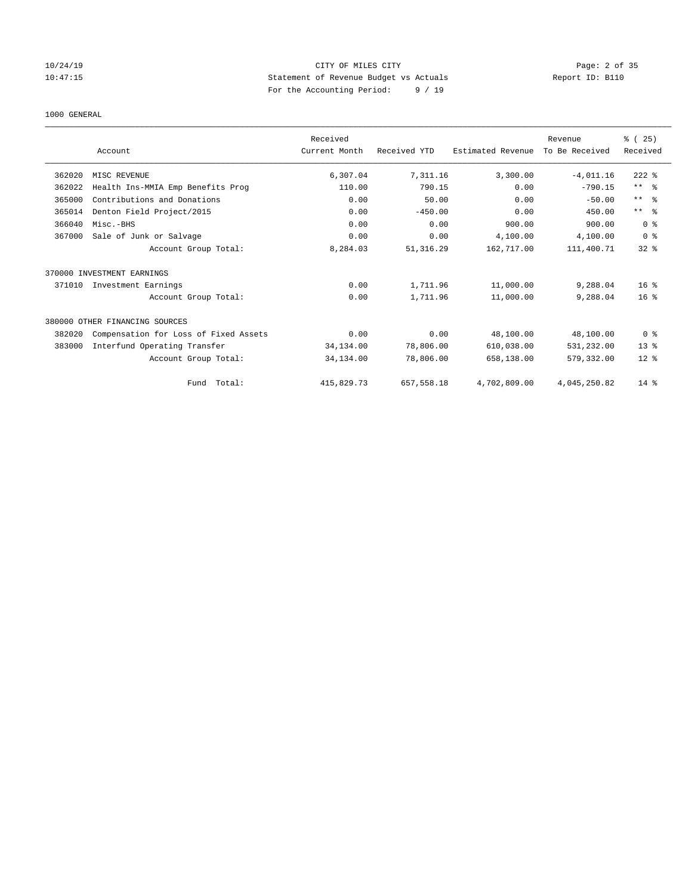## 10/24/19 CITY OF MILES CITY Page: 2 of 35 10:47:15 Statement of Revenue Budget vs Actuals Report ID: B110 For the Accounting Period: 9 / 19

#### 1000 GENERAL

|        |                                       | Received      |              |                   | Revenue        | % (25)          |
|--------|---------------------------------------|---------------|--------------|-------------------|----------------|-----------------|
|        | Account                               | Current Month | Received YTD | Estimated Revenue | To Be Received | Received        |
| 362020 | MISC REVENUE                          | 6,307.04      | 7,311.16     | 3,300.00          | $-4,011.16$    | $222$ %         |
| 362022 | Health Ins-MMIA Emp Benefits Prog     | 110.00        | 790.15       | 0.00              | $-790.15$      | $***$ $ -$      |
| 365000 | Contributions and Donations           | 0.00          | 50.00        | 0.00              | $-50.00$       | $***$ $ -$      |
| 365014 | Denton Field Project/2015             | 0.00          | $-450.00$    | 0.00              | 450.00         | $***$ $ -$      |
| 366040 | Misc.-BHS                             | 0.00          | 0.00         | 900.00            | 900.00         | 0 <sup>8</sup>  |
| 367000 | Sale of Junk or Salvage               | 0.00          | 0.00         | 4,100.00          | 4,100.00       | 0 <sup>8</sup>  |
|        | Account Group Total:                  | 8,284.03      | 51, 316.29   | 162,717.00        | 111,400.71     | $32$ $%$        |
|        | 370000 INVESTMENT EARNINGS            |               |              |                   |                |                 |
| 371010 | Investment Earnings                   | 0.00          | 1,711.96     | 11,000.00         | 9,288.04       | 16 <sup>8</sup> |
|        | Account Group Total:                  | 0.00          | 1,711.96     | 11,000.00         | 9,288.04       | 16 <sup>8</sup> |
|        | 380000 OTHER FINANCING SOURCES        |               |              |                   |                |                 |
| 382020 | Compensation for Loss of Fixed Assets | 0.00          | 0.00         | 48,100.00         | 48,100.00      | 0 <sup>8</sup>  |
| 383000 | Interfund Operating Transfer          | 34,134.00     | 78,806.00    | 610,038.00        | 531,232.00     | $13*$           |
|        | Account Group Total:                  | 34,134.00     | 78,806.00    | 658,138.00        | 579,332.00     | $12*$           |
|        | Total:<br>Fund                        | 415,829.73    | 657,558.18   | 4,702,809.00      | 4,045,250.82   | $14*$           |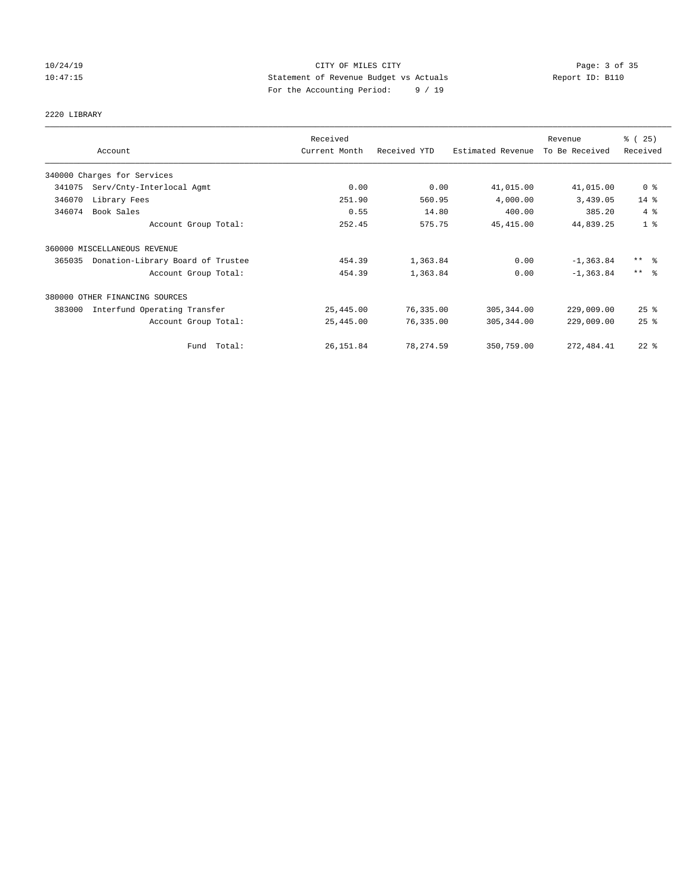## 10/24/19 CITY OF MILES CITY Page: 3 of 35 10:47:15 Statement of Revenue Budget vs Actuals Report ID: B110 For the Accounting Period: 9 / 19

# 2220 LIBRARY

|        |                                   | Received      |              |                   | Revenue        | % (25)              |
|--------|-----------------------------------|---------------|--------------|-------------------|----------------|---------------------|
|        | Account                           | Current Month | Received YTD | Estimated Revenue | To Be Received | Received            |
|        | 340000 Charges for Services       |               |              |                   |                |                     |
| 341075 | Serv/Cnty-Interlocal Agmt         | 0.00          | 0.00         | 41,015.00         | 41,015.00      | 0 <sup>8</sup>      |
| 346070 | Library Fees                      | 251.90        | 560.95       | 4,000.00          | 3,439.05       | $14$ %              |
| 346074 | Book Sales                        | 0.55          | 14.80        | 400.00            | 385.20         | $4\degree$          |
|        | Account Group Total:              | 252.45        | 575.75       | 45, 415.00        | 44,839.25      | 1 <sup>8</sup>      |
|        | 360000 MISCELLANEOUS REVENUE      |               |              |                   |                |                     |
| 365035 | Donation-Library Board of Trustee | 454.39        | 1,363.84     | 0.00              | $-1, 363.84$   | $***$ $\frac{6}{5}$ |
|        | Account Group Total:              | 454.39        | 1,363.84     | 0.00              | $-1, 363.84$   | $***$ $\approx$     |
|        | 380000 OTHER FINANCING SOURCES    |               |              |                   |                |                     |
| 383000 | Interfund Operating Transfer      | 25,445.00     | 76,335.00    | 305,344.00        | 229,009.00     | $25$ $%$            |
|        | Account Group Total:              | 25,445.00     | 76,335.00    | 305, 344.00       | 229,009.00     | 25%                 |
|        | Fund Total:                       | 26, 151.84    | 78, 274.59   | 350,759.00        | 272, 484.41    | $22$ $%$            |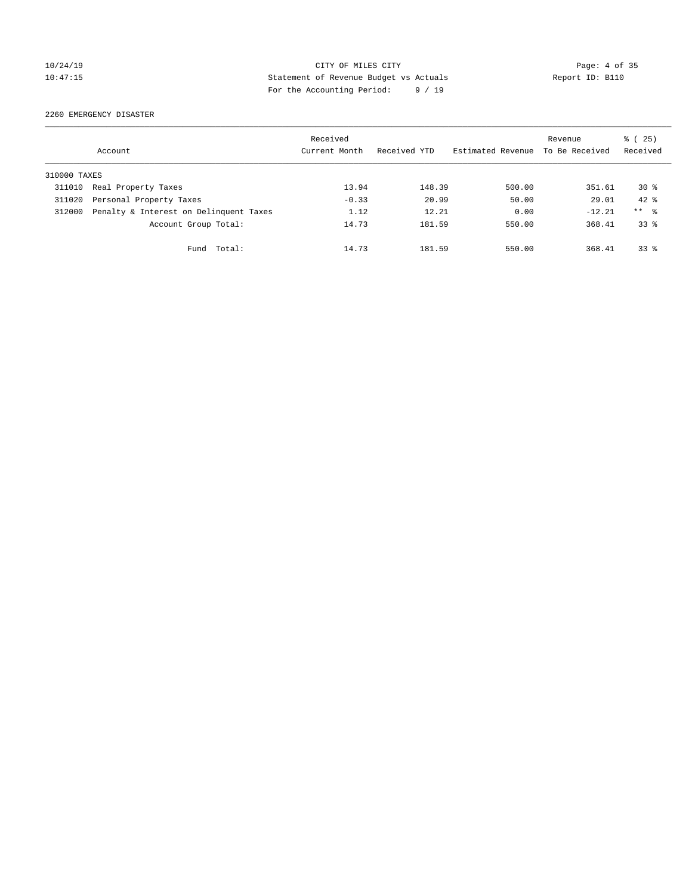## 10/24/19 CITY OF MILES CITY Page: 4 of 35 10:47:15 Statement of Revenue Budget vs Actuals Report ID: B110 For the Accounting Period: 9 / 19

2260 EMERGENCY DISASTER

|              | Account                                | Received<br>Current Month | Received YTD | Estimated Revenue | Revenue<br>To Be Received | % (25)<br>Received |
|--------------|----------------------------------------|---------------------------|--------------|-------------------|---------------------------|--------------------|
| 310000 TAXES |                                        |                           |              |                   |                           |                    |
| 311010       | Real Property Taxes                    | 13.94                     | 148.39       | 500.00            | 351.61                    | $30*$              |
| 311020       | Personal Property Taxes                | $-0.33$                   | 20.99        | 50.00             | 29.01                     | $42*$              |
| 312000       | Penalty & Interest on Delinquent Taxes | 1.12                      | 12.21        | 0.00              | $-12.21$                  | ** %               |
|              | Account Group Total:                   | 14.73                     | 181.59       | 550.00            | 368.41                    | 33 <sup>8</sup>    |
|              | Total:<br>Fund                         | 14.73                     | 181.59       | 550.00            | 368.41                    | $33*$              |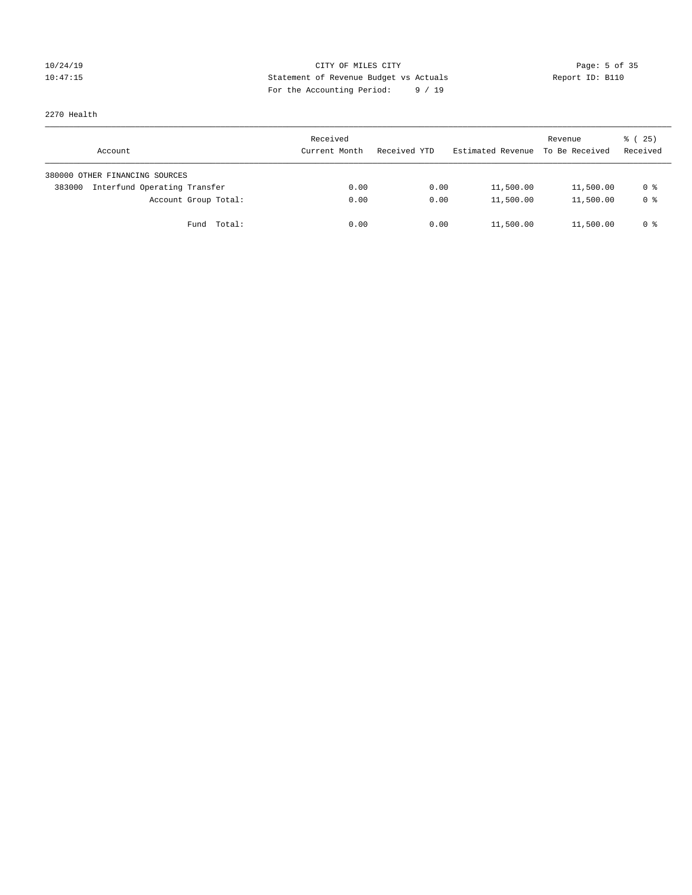## 10/24/19 CITY OF MILES CITY Page: 5 of 35 10:47:15 Statement of Revenue Budget vs Actuals Report ID: B110 For the Accounting Period: 9 / 19

2270 Health

| Account                                | Received<br>Current Month | Received YTD | Estimated Revenue | Revenue<br>To Be Received | 8 (25)<br>Received |
|----------------------------------------|---------------------------|--------------|-------------------|---------------------------|--------------------|
| 380000 OTHER FINANCING SOURCES         |                           |              |                   |                           |                    |
| Interfund Operating Transfer<br>383000 | 0.00                      | 0.00         | 11,500.00         | 11,500.00                 | 0 %                |
| Account Group Total:                   | 0.00                      | 0.00         | 11,500.00         | 11,500.00                 | 0 <sup>8</sup>     |
| Fund Total:                            | 0.00                      | 0.00         | 11,500.00         | 11,500.00                 | 0 %                |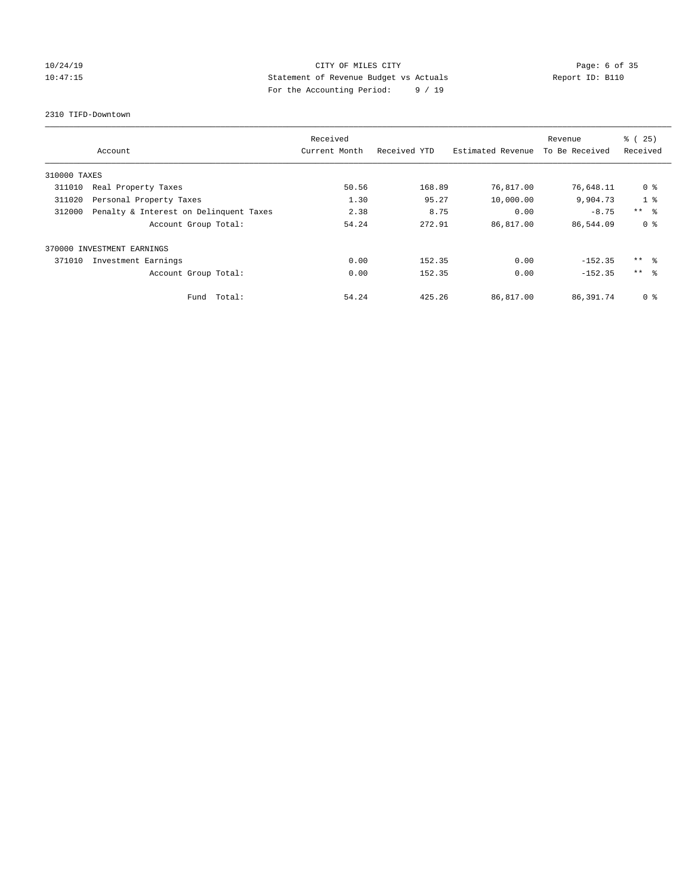## 10/24/19 CITY OF MILES CITY Page: 6 of 35 10:47:15 Statement of Revenue Budget vs Actuals Report ID: B110 For the Accounting Period: 9 / 19

2310 TIFD-Downtown

|              |                                        | Received      |              |                   | Revenue        | % (25)          |
|--------------|----------------------------------------|---------------|--------------|-------------------|----------------|-----------------|
|              | Account                                | Current Month | Received YTD | Estimated Revenue | To Be Received | Received        |
| 310000 TAXES |                                        |               |              |                   |                |                 |
| 311010       | Real Property Taxes                    | 50.56         | 168.89       | 76,817.00         | 76,648.11      | 0 <sup>8</sup>  |
| 311020       | Personal Property Taxes                | 1.30          | 95.27        | 10,000.00         | 9,904.73       | 1 <sup>°</sup>  |
| 312000       | Penalty & Interest on Delinquent Taxes | 2.38          | 8.75         | 0.00              | $-8.75$        | $***$ $\approx$ |
|              | Account Group Total:                   | 54.24         | 272.91       | 86,817.00         | 86,544.09      | 0 <sup>8</sup>  |
|              | 370000 INVESTMENT EARNINGS             |               |              |                   |                |                 |
| 371010       | Investment Earnings                    | 0.00          | 152.35       | 0.00              | $-152.35$      | $***$ $\approx$ |
|              | Account Group Total:                   | 0.00          | 152.35       | 0.00              | $-152.35$      | $***$ $\approx$ |
|              | Fund Total:                            | 54.24         | 425.26       | 86,817.00         | 86,391.74      | 0 %             |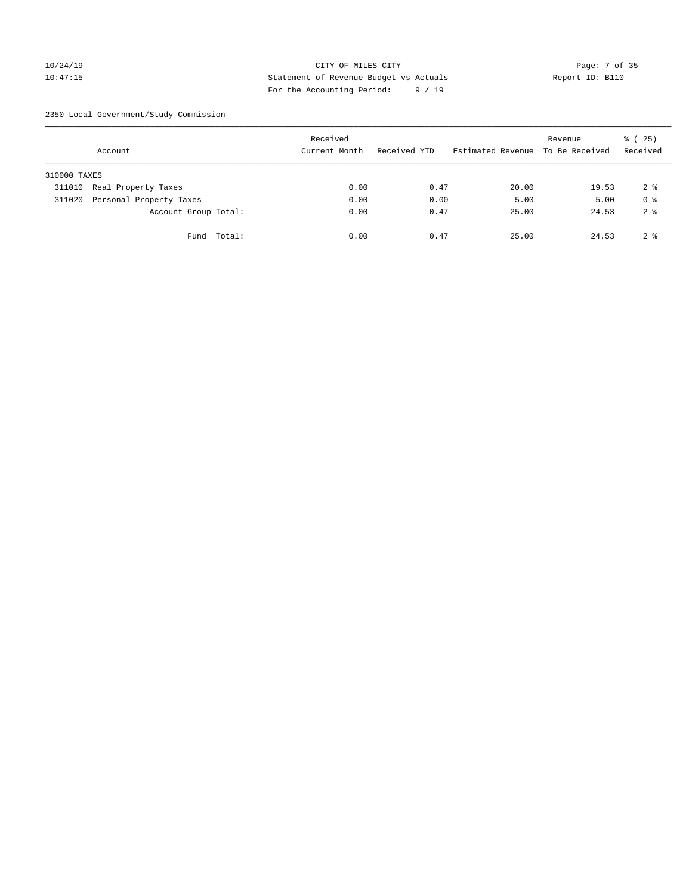## 10/24/19 CITY OF MILES CITY Page: 7 of 35 10:47:15 Statement of Revenue Budget vs Actuals Report ID: B110 For the Accounting Period: 9 / 19

2350 Local Government/Study Commission

|              | Account                 |             | Received<br>Current Month |      | Received YTD |       | Revenue<br>Estimated Revenue To Be Received | % (25)<br>Received |
|--------------|-------------------------|-------------|---------------------------|------|--------------|-------|---------------------------------------------|--------------------|
| 310000 TAXES |                         |             |                           |      |              |       |                                             |                    |
| 311010       | Real Property Taxes     |             |                           | 0.00 | 0.47         | 20.00 | 19.53                                       | 2 <sub>8</sub>     |
| 311020       | Personal Property Taxes |             |                           | 0.00 | 0.00         | 5.00  | 5.00                                        | 0 <sup>8</sup>     |
|              | Account Group Total:    |             |                           | 0.00 | 0.47         | 25.00 | 24.53                                       | 2 <sup>8</sup>     |
|              |                         | Fund Total: |                           | 0.00 | 0.47         | 25.00 | 24.53                                       | 2 <sup>8</sup>     |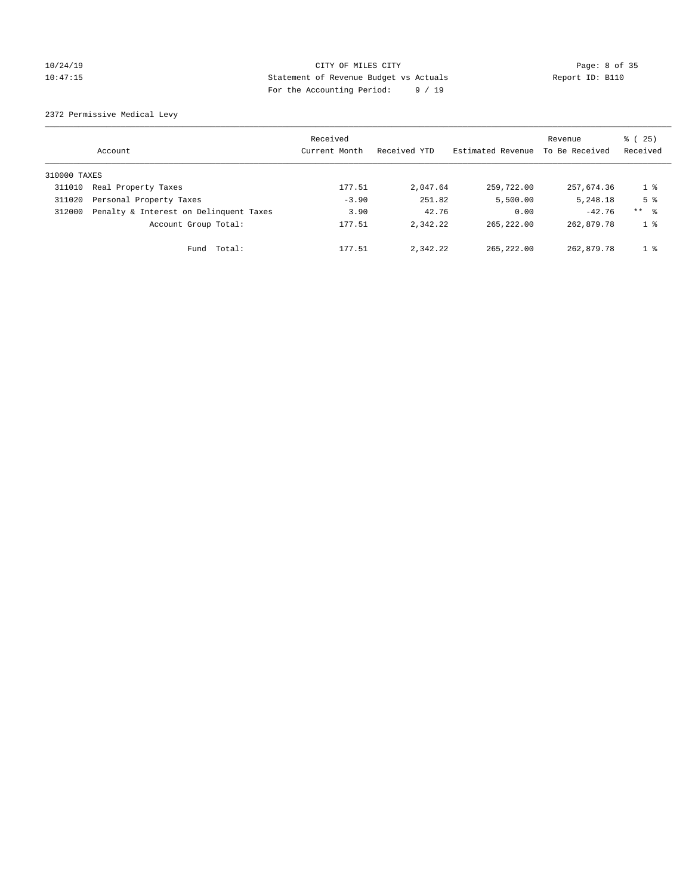## 10/24/19 CITY OF MILES CITY Page: 8 of 35 10:47:15 Statement of Revenue Budget vs Actuals Report ID: B110 For the Accounting Period: 9 / 19

2372 Permissive Medical Levy

|              | Account                                | Received<br>Current Month | Received YTD | Estimated Revenue | Revenue<br>To Be Received | $\frac{1}{6}$ ( 25)<br>Received |
|--------------|----------------------------------------|---------------------------|--------------|-------------------|---------------------------|---------------------------------|
| 310000 TAXES |                                        |                           |              |                   |                           |                                 |
| 311010       | Real Property Taxes                    | 177.51                    | 2,047.64     | 259,722.00        | 257,674.36                | $1\degree$                      |
| 311020       | Personal Property Taxes                | $-3.90$                   | 251.82       | 5,500.00          | 5,248.18                  | 5 <sup>8</sup>                  |
| 312000       | Penalty & Interest on Delinquent Taxes | 3.90                      | 42.76        | 0.00              | $-42.76$                  | ** %                            |
|              | Account Group Total:                   | 177.51                    | 2.342.22     | 265, 222, 00      | 262,879.78                | 1 <sup>8</sup>                  |
|              | Total:<br>Fund                         | 177.51                    | 2,342.22     | 265, 222, 00      | 262,879.78                | 1 <sup>8</sup>                  |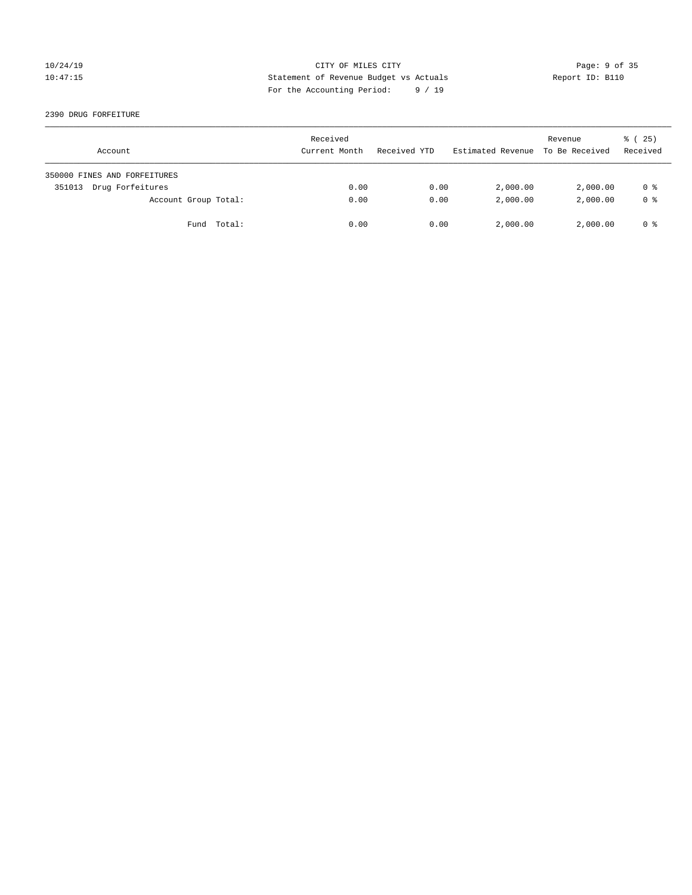## 10/24/19 CITY OF MILES CITY Page: 9 of 35 10:47:15 Statement of Revenue Budget vs Actuals Report ID: B110 For the Accounting Period: 9 / 19

2390 DRUG FORFEITURE

| Account                      | Received<br>Current Month | Received YTD | Estimated Revenue | Revenue<br>To Be Received | $\frac{1}{6}$ ( 25)<br>Received |
|------------------------------|---------------------------|--------------|-------------------|---------------------------|---------------------------------|
| 350000 FINES AND FORFEITURES |                           |              |                   |                           |                                 |
| Drug Forfeitures<br>351013   | 0.00                      | 0.00         | 2,000.00          | 2,000.00                  | 0 %                             |
| Account Group Total:         | 0.00                      | 0.00         | 2,000.00          | 2,000.00                  | 0 <sup>8</sup>                  |
| Fund Total:                  | 0.00                      | 0.00         | 2,000.00          | 2,000.00                  | 0 %                             |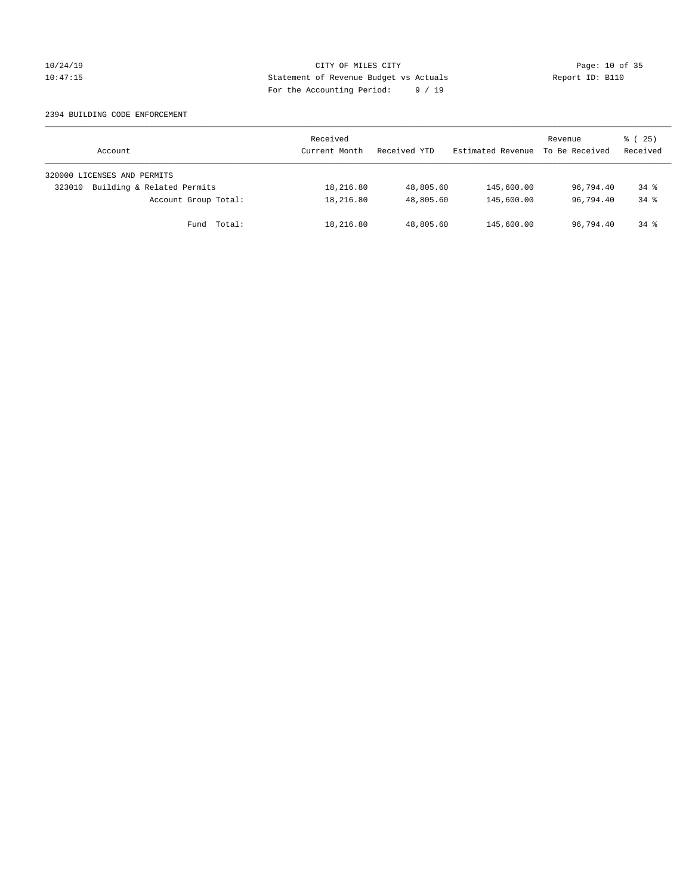## 10/24/19 **Page: 10 of 35** CITY OF MILES CITY **Page: 10 of 35** 10:47:15 Statement of Revenue Budget vs Actuals Report ID: B110 For the Accounting Period: 9 / 19

#### 2394 BUILDING CODE ENFORCEMENT

| Account                              | Received<br>Current Month | Received YTD | Estimated Revenue | Revenue<br>To Be Received | $\frac{3}{2}$ ( 25)<br>Received |
|--------------------------------------|---------------------------|--------------|-------------------|---------------------------|---------------------------------|
| 320000 LICENSES AND PERMITS          |                           |              |                   |                           |                                 |
| Building & Related Permits<br>323010 | 18,216.80                 | 48,805.60    | 145,600.00        | 96,794.40                 | $34*$                           |
| Account Group Total:                 | 18,216.80                 | 48,805.60    | 145,600.00        | 96,794.40                 | $34*$                           |
| Fund Total:                          | 18,216.80                 | 48,805.60    | 145,600.00        | 96,794.40                 | $34*$                           |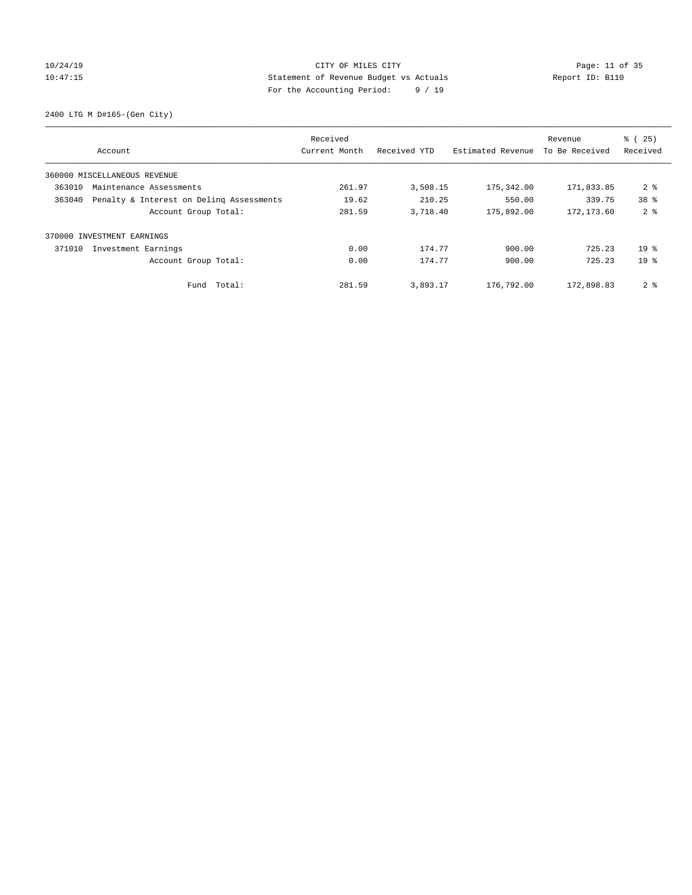## 10/24/19 **Page: 11 of 35** CITY OF MILES CITY **Page: 11 of 35** 10:47:15 Statement of Revenue Budget vs Actuals Report ID: B110 For the Accounting Period: 9 / 19

2400 LTG M D#165-(Gen City)

|                                                    | Received      |              |                   | Revenue        | % (25)          |
|----------------------------------------------------|---------------|--------------|-------------------|----------------|-----------------|
| Account                                            | Current Month | Received YTD | Estimated Revenue | To Be Received | Received        |
| 360000 MISCELLANEOUS REVENUE                       |               |              |                   |                |                 |
| 363010<br>Maintenance Assessments                  | 261.97        | 3,508.15     | 175,342.00        | 171,833.85     | 2 <sub>8</sub>  |
| 363040<br>Penalty & Interest on Deling Assessments | 19.62         | 210.25       | 550.00            | 339.75         | 38 <sup>8</sup> |
| Account Group Total:                               | 281.59        | 3,718.40     | 175,892.00        | 172, 173.60    | 2 <sup>8</sup>  |
| 370000 INVESTMENT EARNINGS                         |               |              |                   |                |                 |
| 371010<br>Investment Earnings                      | 0.00          | 174.77       | 900.00            | 725.23         | 19 <sup>8</sup> |
| Account Group Total:                               | 0.00          | 174.77       | 900.00            | 725.23         | 19 <sup>8</sup> |
| Total:<br>Fund                                     | 281.59        | 3,893.17     | 176,792.00        | 172,898.83     | 2 <sup>8</sup>  |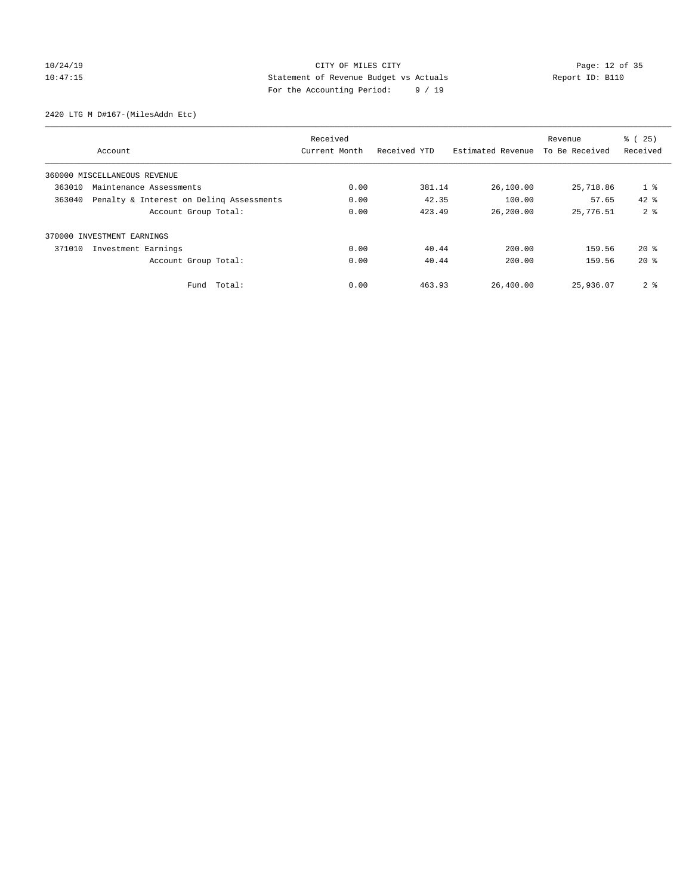## 10/24/19 **Page: 12 of 35** CITY OF MILES CITY **Page: 12 of 35** 10:47:15 Statement of Revenue Budget vs Actuals Report ID: B110 For the Accounting Period: 9 / 19

2420 LTG M D#167-(MilesAddn Etc)

|                              |                                          | Received      |              |                   | Revenue        | % (25)         |
|------------------------------|------------------------------------------|---------------|--------------|-------------------|----------------|----------------|
| Account                      |                                          | Current Month | Received YTD | Estimated Revenue | To Be Received | Received       |
| 360000 MISCELLANEOUS REVENUE |                                          |               |              |                   |                |                |
| 363010                       | Maintenance Assessments                  | 0.00          | 381.14       | 26,100.00         | 25,718.86      | $1$ %          |
| 363040                       | Penalty & Interest on Deling Assessments | 0.00          | 42.35        | 100.00            | 57.65          | $42*$          |
|                              | Account Group Total:                     | 0.00          | 423.49       | 26,200.00         | 25,776.51      | 2 <sup>8</sup> |
| 370000 INVESTMENT EARNINGS   |                                          |               |              |                   |                |                |
| 371010                       | Investment Earnings                      | 0.00          | 40.44        | 200.00            | 159.56         | $20*$          |
|                              | Account Group Total:                     | 0.00          | 40.44        | 200.00            | 159.56         | $20*$          |
|                              | Total:<br>Fund                           | 0.00          | 463.93       | 26,400.00         | 25,936.07      | 2 <sub>8</sub> |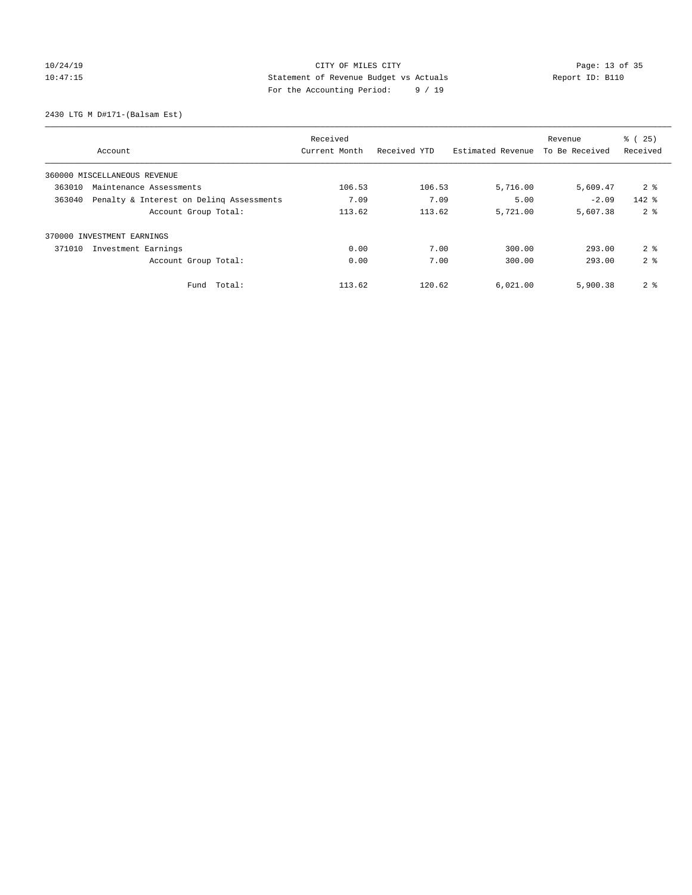## 10/24/19 **Page: 13 of 35** CITY OF MILES CITY **Page: 13 of 35** 10:47:15 Statement of Revenue Budget vs Actuals Report ID: B110 For the Accounting Period: 9 / 19

2430 LTG M D#171-(Balsam Est)

|                                                    | Received      |              |                   | Revenue        | % (25)         |
|----------------------------------------------------|---------------|--------------|-------------------|----------------|----------------|
| Account                                            | Current Month | Received YTD | Estimated Revenue | To Be Received | Received       |
| 360000 MISCELLANEOUS REVENUE                       |               |              |                   |                |                |
| 363010<br>Maintenance Assessments                  | 106.53        | 106.53       | 5,716.00          | 5,609.47       | 2 <sub>8</sub> |
| Penalty & Interest on Deling Assessments<br>363040 | 7.09          | 7.09         | 5.00              | $-2.09$        | $142$ %        |
| Account Group Total:                               | 113.62        | 113.62       | 5,721.00          | 5,607.38       | 2 <sup>8</sup> |
| 370000 INVESTMENT EARNINGS                         |               |              |                   |                |                |
| 371010<br>Investment Earnings                      | 0.00          | 7.00         | 300.00            | 293.00         | 2 <sup>8</sup> |
| Account Group Total:                               | 0.00          | 7.00         | 300.00            | 293.00         | 2 <sup>8</sup> |
| Total:<br>Fund                                     | 113.62        | 120.62       | 6,021.00          | 5,900.38       | 2 <sub>8</sub> |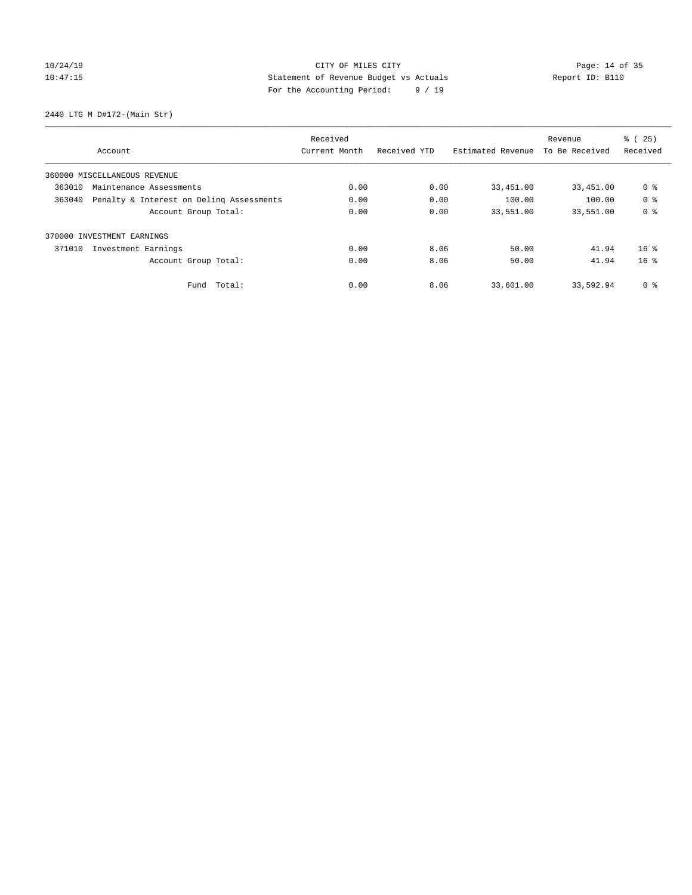## 10/24/19 Page: 14 of 35 10:47:15 Statement of Revenue Budget vs Actuals Report ID: B110 For the Accounting Period: 9 / 19

2440 LTG M D#172-(Main Str)

|                                                    |                              | Received      |              |                   | Revenue        | % (25)          |
|----------------------------------------------------|------------------------------|---------------|--------------|-------------------|----------------|-----------------|
|                                                    | Account                      | Current Month | Received YTD | Estimated Revenue | To Be Received | Received        |
|                                                    | 360000 MISCELLANEOUS REVENUE |               |              |                   |                |                 |
| 363010<br>Maintenance Assessments                  |                              | 0.00          | 0.00         | 33,451.00         | 33,451.00      | 0 %             |
| Penalty & Interest on Deling Assessments<br>363040 |                              | 0.00          | 0.00         | 100.00            | 100.00         | 0 <sup>8</sup>  |
|                                                    | Account Group Total:         | 0.00          | 0.00         | 33,551.00         | 33,551.00      | 0 <sup>8</sup>  |
|                                                    | 370000 INVESTMENT EARNINGS   |               |              |                   |                |                 |
| 371010                                             | Investment Earnings          | 0.00          | 8.06         | 50.00             | 41.94          | $16*$           |
|                                                    | Account Group Total:         | 0.00          | 8.06         | 50.00             | 41.94          | 16 <sup>8</sup> |
|                                                    | Fund Total:                  | 0.00          | 8.06         | 33,601.00         | 33,592.94      | 0 %             |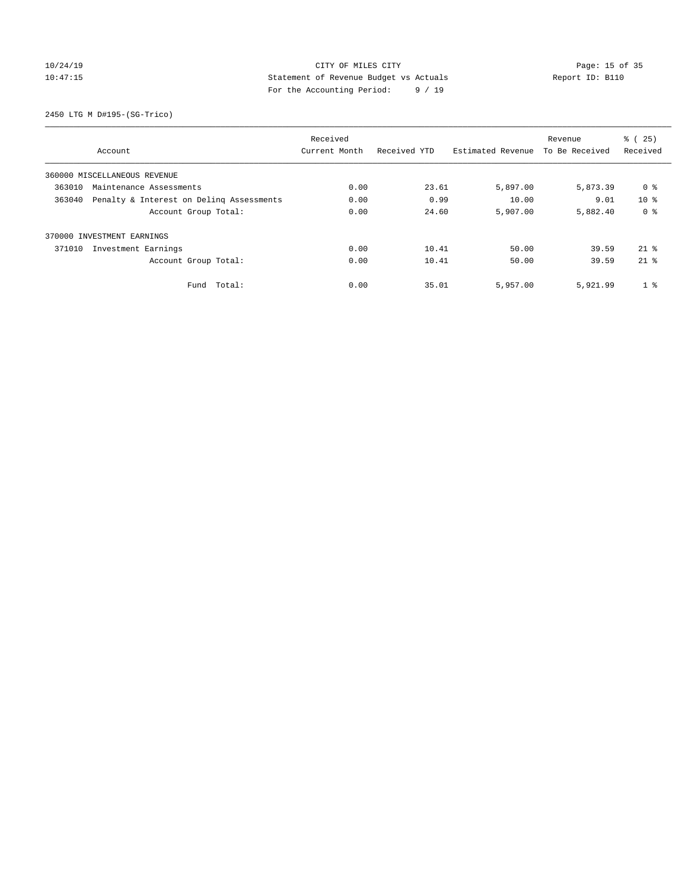## 10/24/19 Page: 15 of 35 10:47:15 Statement of Revenue Budget vs Actuals Report ID: B110 For the Accounting Period: 9 / 19

2450 LTG M D#195-(SG-Trico)

|                                   |                                          | Received      |              |                   | Revenue        | % (25)          |
|-----------------------------------|------------------------------------------|---------------|--------------|-------------------|----------------|-----------------|
|                                   | Account                                  | Current Month | Received YTD | Estimated Revenue | To Be Received | Received        |
|                                   | 360000 MISCELLANEOUS REVENUE             |               |              |                   |                |                 |
| 363010<br>Maintenance Assessments |                                          | 0.00          | 23.61        | 5,897.00          | 5,873.39       | 0 %             |
| 363040                            | Penalty & Interest on Deling Assessments |               | 0.99         | 10.00             | 9.01           | 10 <sup>8</sup> |
|                                   | Account Group Total:                     | 0.00          | 24.60        | 5,907.00          | 5,882.40       | 0 <sup>8</sup>  |
|                                   | 370000 INVESTMENT EARNINGS               |               |              |                   |                |                 |
| 371010                            | Investment Earnings                      | 0.00          | 10.41        | 50.00             | 39.59          | $21*$           |
|                                   | Account Group Total:                     | 0.00          | 10.41        | 50.00             | 39.59          | $21*$           |
|                                   | Fund Total:                              | 0.00          | 35.01        | 5,957.00          | 5,921.99       | 1 <sup>8</sup>  |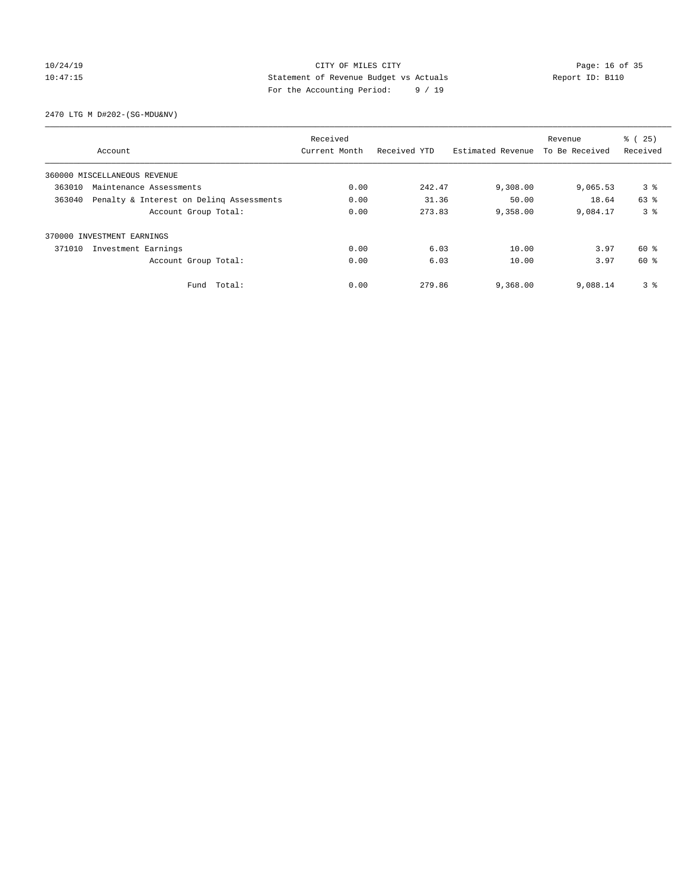## 10/24/19 **Page: 16 of 35** CITY OF MILES CITY **Page: 16 of 35** 10:47:15 Statement of Revenue Budget vs Actuals Report ID: B110 For the Accounting Period: 9 / 19

2470 LTG M D#202-(SG-MDU&NV)

|        |                                          | Received      |              |                   | Revenue        | % (25)         |
|--------|------------------------------------------|---------------|--------------|-------------------|----------------|----------------|
|        | Account                                  | Current Month | Received YTD | Estimated Revenue | To Be Received | Received       |
|        | 360000 MISCELLANEOUS REVENUE             |               |              |                   |                |                |
| 363010 | Maintenance Assessments                  | 0.00          | 242.47       | 9,308.00          | 9,065.53       | 3 <sup>8</sup> |
| 363040 | Penalty & Interest on Deling Assessments |               | 31.36        | 50.00             | 18.64          | 63 %           |
|        | Account Group Total:                     | 0.00          | 273.83       | 9,358.00          | 9,084.17       | 3 <sup>8</sup> |
|        | 370000 INVESTMENT EARNINGS               |               |              |                   |                |                |
| 371010 | Investment Earnings                      | 0.00          | 6.03         | 10.00             | 3.97           | 60 %           |
|        | Account Group Total:                     | 0.00          | 6.03         | 10.00             | 3.97           | 60 %           |
|        | Fund Total:                              | 0.00          | 279.86       | 9,368.00          | 9,088.14       | 3 <sup>8</sup> |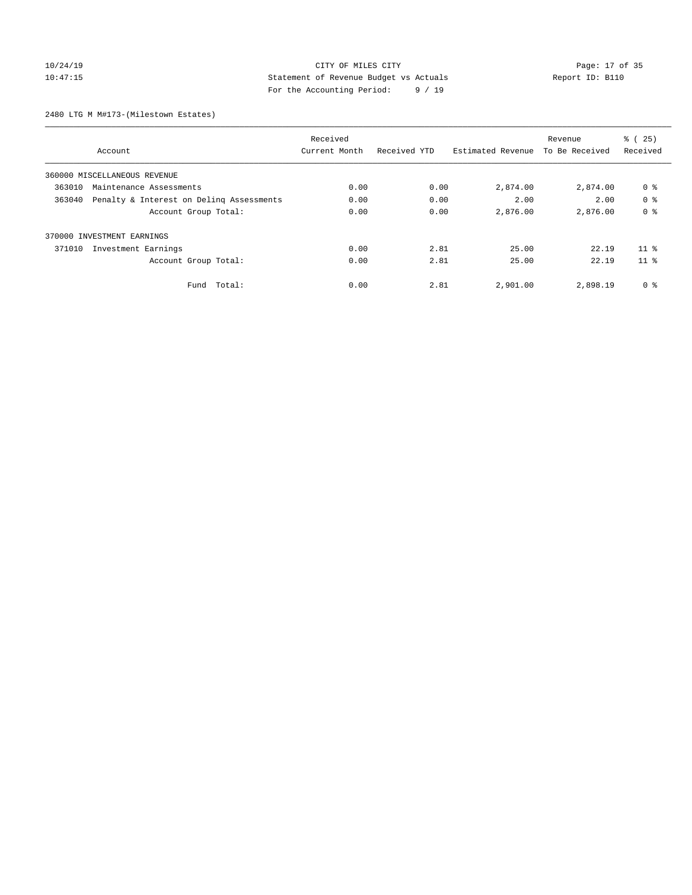## 10/24/19 **Page: 17 of 35** CITY OF MILES CITY **Page: 17 of 35** 10:47:15 Statement of Revenue Budget vs Actuals Report ID: B110 For the Accounting Period: 9 / 19

2480 LTG M M#173-(Milestown Estates)

|                                   |                                          | Received      |              |                   | Revenue        | % (25)          |
|-----------------------------------|------------------------------------------|---------------|--------------|-------------------|----------------|-----------------|
|                                   | Account                                  | Current Month | Received YTD | Estimated Revenue | To Be Received | Received        |
|                                   | 360000 MISCELLANEOUS REVENUE             |               |              |                   |                |                 |
| 363010<br>Maintenance Assessments |                                          | 0.00          | 0.00         | 2,874.00          | 2,874.00       | 0 %             |
| 363040                            | Penalty & Interest on Deling Assessments |               | 0.00         | 2.00              | 2.00           | 0 <sup>8</sup>  |
|                                   | Account Group Total:                     | 0.00          | 0.00         | 2,876.00          | 2,876.00       | 0 <sup>8</sup>  |
|                                   | 370000 INVESTMENT EARNINGS               |               |              |                   |                |                 |
| 371010                            | Investment Earnings                      | 0.00          | 2.81         | 25.00             | 22.19          | 11 <sup>8</sup> |
|                                   | Account Group Total:                     | 0.00          | 2.81         | 25.00             | 22.19          | 11 <sup>8</sup> |
|                                   | Fund Total:                              | 0.00          | 2.81         | 2,901.00          | 2,898.19       | 0 %             |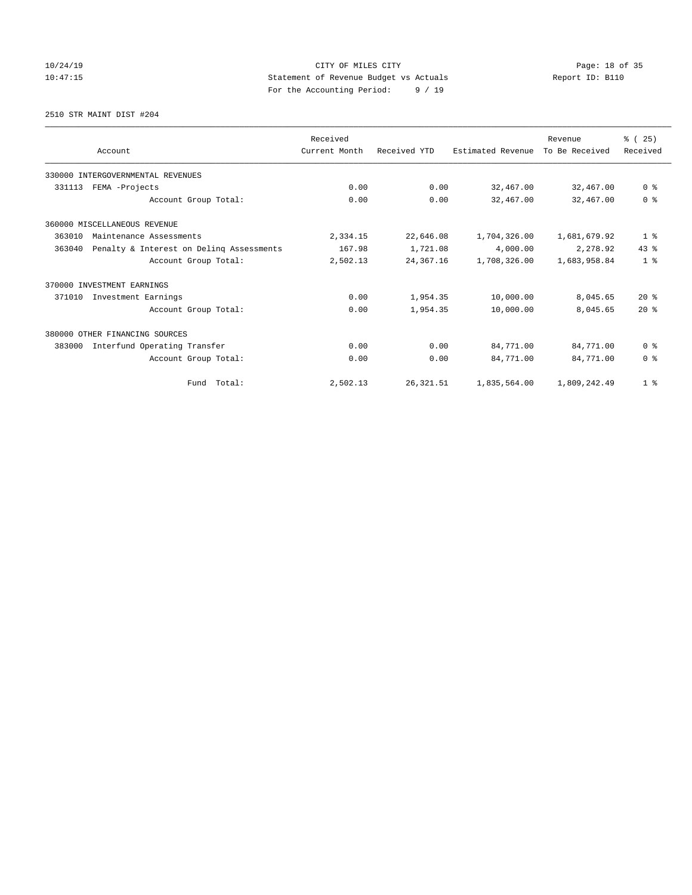## 10/24/19 **Page: 18 of 35** CITY OF MILES CITY **Page: 18 of 35** 10:47:15 Statement of Revenue Budget vs Actuals Report ID: B110 For the Accounting Period: 9 / 19

2510 STR MAINT DIST #204

|                            | Account                                  | Received<br>Current Month | Received YTD | Estimated Revenue | Revenue<br>To Be Received | % (25)<br>Received |
|----------------------------|------------------------------------------|---------------------------|--------------|-------------------|---------------------------|--------------------|
|                            | 330000 INTERGOVERNMENTAL REVENUES        |                           |              |                   |                           |                    |
| 331113                     | FEMA -Projects                           |                           | 0.00         | 32,467.00         | 32,467.00                 | 0 <sup>8</sup>     |
|                            | Account Group Total:                     | 0.00                      | 0.00         | 32,467.00         | 32,467.00                 | 0 <sup>8</sup>     |
|                            | 360000 MISCELLANEOUS REVENUE             |                           |              |                   |                           |                    |
| 363010                     | Maintenance Assessments                  |                           | 22,646.08    | 1,704,326.00      | 1,681,679.92              | 1 <sup>8</sup>     |
| 363040                     | Penalty & Interest on Delinq Assessments | 167.98                    | 1,721.08     | 4,000.00          | 2,278.92                  | $43*$              |
|                            | Account Group Total:                     | 2,502.13                  | 24,367.16    | 1,708,326.00      | 1,683,958.84              | 1 <sup>8</sup>     |
| 370000 INVESTMENT EARNINGS |                                          |                           |              |                   |                           |                    |
| 371010                     | Investment Earnings                      | 0.00                      | 1,954.35     | 10,000.00         | 8,045.65                  | $20*$              |
|                            | Account Group Total:                     | 0.00                      | 1,954.35     | 10,000.00         | 8,045.65                  | $20*$              |
|                            | 380000 OTHER FINANCING SOURCES           |                           |              |                   |                           |                    |
| 383000                     | Interfund Operating Transfer             | 0.00                      | 0.00         | 84,771.00         | 84,771.00                 | 0 <sup>8</sup>     |
|                            | Account Group Total:                     | 0.00                      | 0.00         | 84,771.00         | 84,771.00                 | 0 <sup>8</sup>     |
|                            | Fund Total:                              | 2,502.13                  | 26, 321.51   | 1,835,564.00      | 1,809,242.49              | 1 <sup>8</sup>     |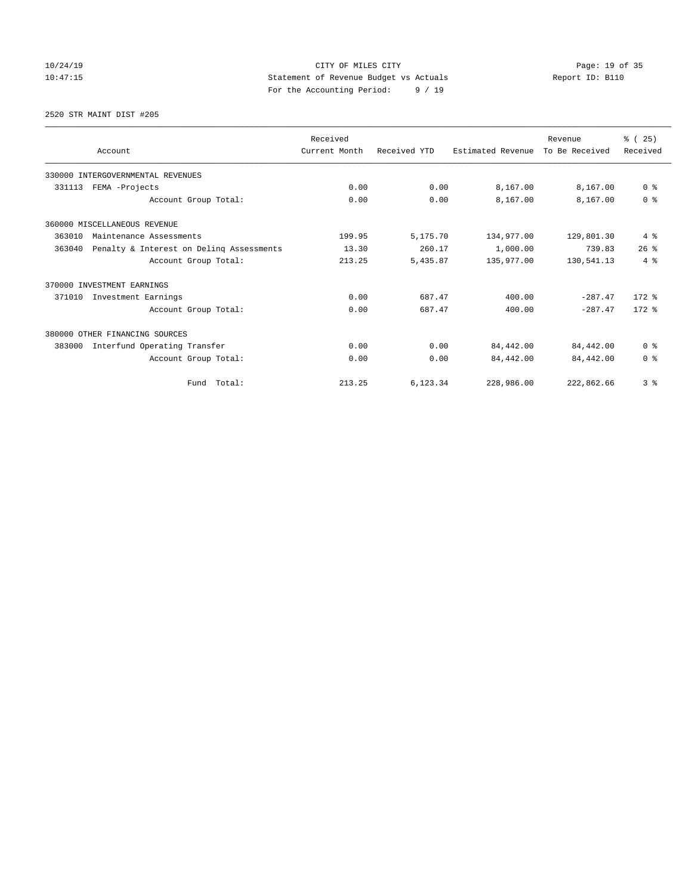## 10/24/19 **Page: 19 of 35** CITY OF MILES CITY **Page: 19 of 35** 10:47:15 Statement of Revenue Budget vs Actuals Report ID: B110 For the Accounting Period: 9 / 19

2520 STR MAINT DIST #205

|                                                    | Received      |              |                   | Revenue        | % (25)         |
|----------------------------------------------------|---------------|--------------|-------------------|----------------|----------------|
| Account                                            | Current Month | Received YTD | Estimated Revenue | To Be Received | Received       |
| 330000 INTERGOVERNMENTAL REVENUES                  |               |              |                   |                |                |
| 331113<br>FEMA -Projects                           | 0.00          | 0.00         | 8,167.00          | 8,167.00       | 0 <sup>8</sup> |
| Account Group Total:                               | 0.00          | 0.00         | 8,167.00          | 8,167.00       | 0 <sup>8</sup> |
| 360000 MISCELLANEOUS REVENUE                       |               |              |                   |                |                |
| 363010<br>Maintenance Assessments                  | 199.95        | 5,175.70     | 134,977.00        | 129,801.30     | 4%             |
| Penalty & Interest on Deling Assessments<br>363040 | 13.30         | 260.17       | 1,000.00          | 739.83         | 26%            |
| Account Group Total:                               | 213.25        | 5,435.87     | 135,977.00        | 130,541.13     | $4\degree$     |
| 370000 INVESTMENT EARNINGS                         |               |              |                   |                |                |
| 371010<br>Investment Earnings                      | 0.00          | 687.47       | 400.00            | $-287.47$      | $172$ $%$      |
| Account Group Total:                               | 0.00          | 687.47       | 400.00            | $-287.47$      | $172.$ %       |
| 380000 OTHER FINANCING SOURCES                     |               |              |                   |                |                |
| Interfund Operating Transfer<br>383000             | 0.00          | 0.00         | 84,442.00         | 84,442.00      | 0 <sup>8</sup> |
| Account Group Total:                               | 0.00          | 0.00         | 84,442.00         | 84,442.00      | 0 <sup>8</sup> |
| Fund Total:                                        | 213.25        | 6,123.34     | 228,986.00        | 222,862.66     | 3 <sup>8</sup> |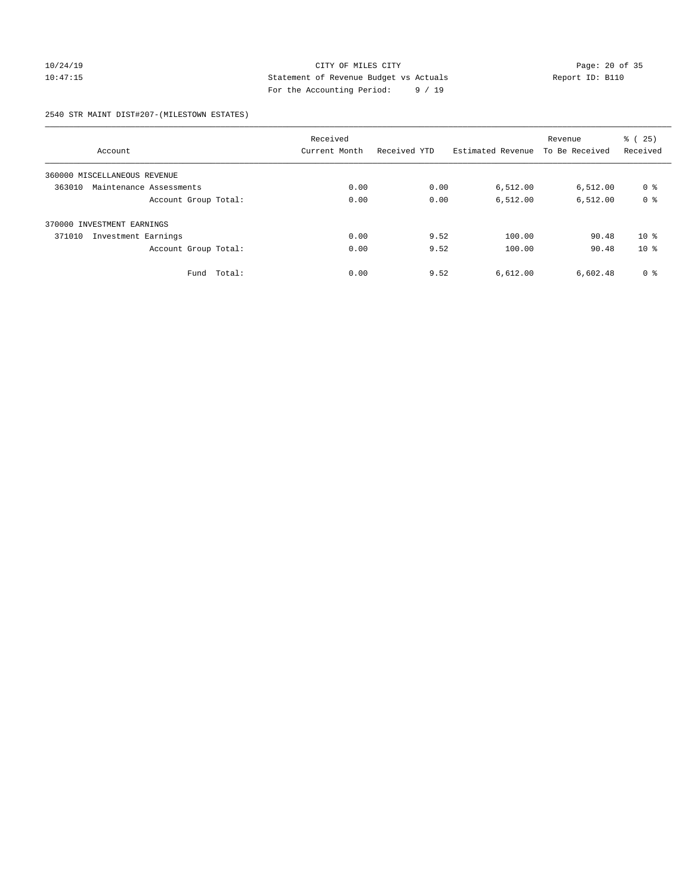## 10/24/19 Page: 20 of 35 10:47:15 Statement of Revenue Budget vs Actuals Report ID: B110 For the Accounting Period: 9 / 19

2540 STR MAINT DIST#207-(MILESTOWN ESTATES)

|                                   |        | Received      |              |                   | Revenue        | % (25)          |
|-----------------------------------|--------|---------------|--------------|-------------------|----------------|-----------------|
| Account                           |        | Current Month | Received YTD | Estimated Revenue | To Be Received | Received        |
| 360000 MISCELLANEOUS REVENUE      |        |               |              |                   |                |                 |
| 363010<br>Maintenance Assessments |        | 0.00          | 0.00         | 6,512.00          | 6,512.00       | 0 %             |
| Account Group Total:              |        | 0.00          | 0.00         | 6,512.00          | 6,512.00       | 0 <sup>8</sup>  |
| 370000 INVESTMENT EARNINGS        |        |               |              |                   |                |                 |
| 371010<br>Investment Earnings     |        | 0.00          | 9.52         | 100.00            | 90.48          | 10 <sup>8</sup> |
| Account Group Total:              |        | 0.00          | 9.52         | 100.00            | 90.48          | $10*$           |
| Fund                              | Total: | 0.00          | 9.52         | 6,612.00          | 6,602.48       | 0 <sup>8</sup>  |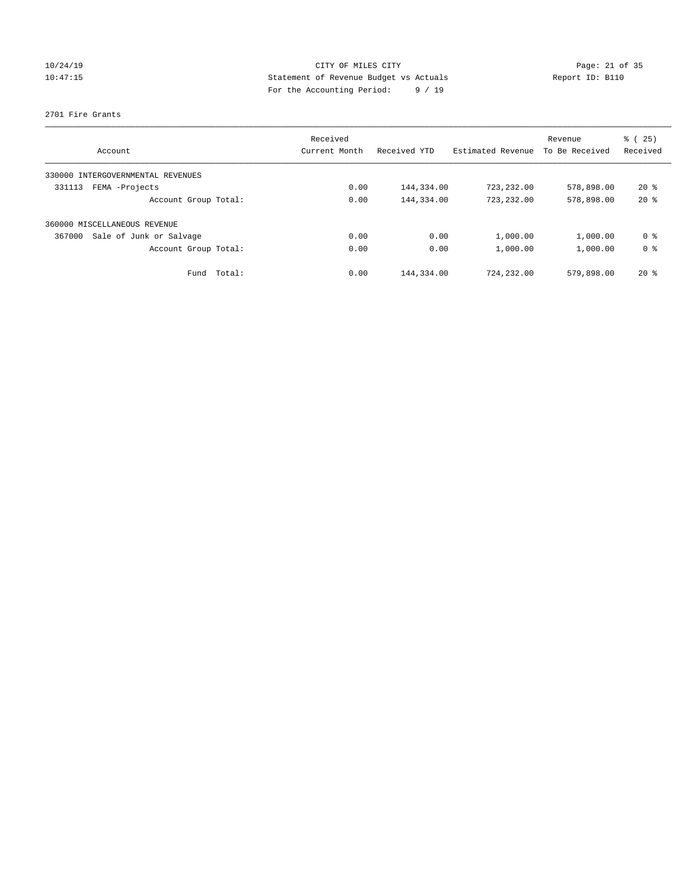## 10/24/19 **Page: 21 of 35** CITY OF MILES CITY **Page: 21 of 35** 10:47:15 Statement of Revenue Budget vs Actuals Report ID: B110 For the Accounting Period: 9 / 19

#### 2701 Fire Grants

|                                      | Received      |              | Estimated Revenue | Revenue        | % (25)         |
|--------------------------------------|---------------|--------------|-------------------|----------------|----------------|
| Account                              | Current Month | Received YTD |                   | To Be Received | Received       |
| INTERGOVERNMENTAL REVENUES<br>330000 |               |              |                   |                |                |
| FEMA -Projects<br>331113             | 0.00          | 144,334.00   | 723,232.00        | 578,898.00     | $20*$          |
| Account Group Total:                 | 0.00          | 144,334.00   | 723,232.00        | 578,898.00     | $20*$          |
| 360000 MISCELLANEOUS REVENUE         |               |              |                   |                |                |
| Sale of Junk or Salvage<br>367000    | 0.00          | 0.00         | 1,000.00          | 1,000.00       | 0 %            |
| Account Group Total:                 | 0.00          | 0.00         | 1,000.00          | 1,000.00       | 0 <sup>8</sup> |
| Total:<br>Fund                       | 0.00          | 144,334.00   | 724,232.00        | 579,898.00     | $20*$          |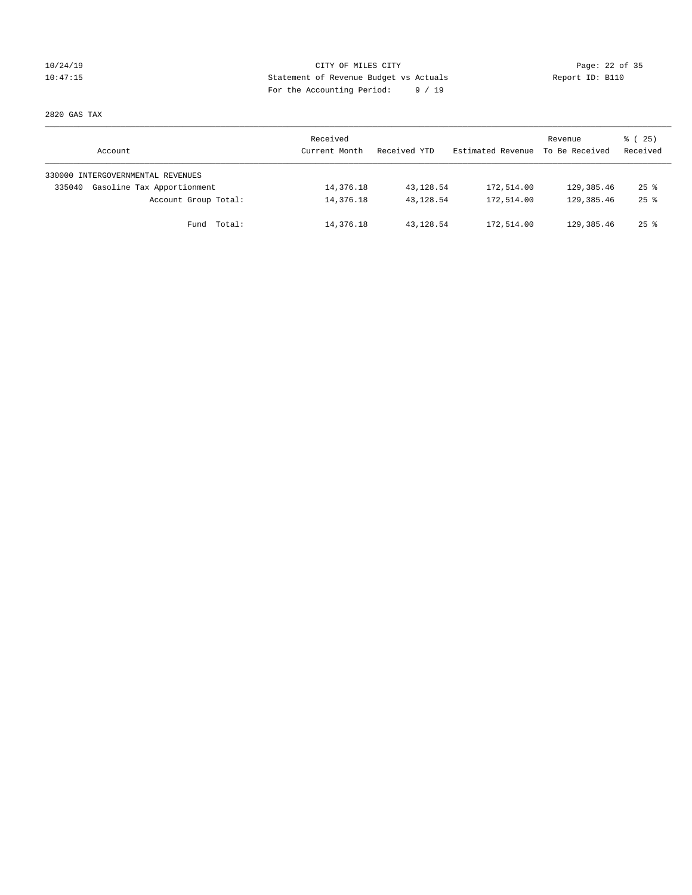## 10/24/19 **Page: 22 of 35** CITY OF MILES CITY **Page: 22 of 35** 10:47:15 Statement of Revenue Budget vs Actuals Report ID: B110 For the Accounting Period: 9 / 19

2820 GAS TAX

| Account                              | Received<br>Current Month | Received YTD | Estimated Revenue | Revenue<br>To Be Received | $\frac{3}{2}$ ( 25)<br>Received |
|--------------------------------------|---------------------------|--------------|-------------------|---------------------------|---------------------------------|
| 330000 INTERGOVERNMENTAL REVENUES    |                           |              |                   |                           |                                 |
| Gasoline Tax Apportionment<br>335040 | 14,376.18                 | 43,128.54    | 172,514.00        | 129,385.46                | $25$ $\frac{6}{5}$              |
| Account Group Total:                 | 14,376.18                 | 43,128.54    | 172,514.00        | 129,385.46                | $25$ $\frac{6}{5}$              |
| Fund Total:                          | 14,376.18                 | 43,128.54    | 172,514.00        | 129,385.46                | $25$ %                          |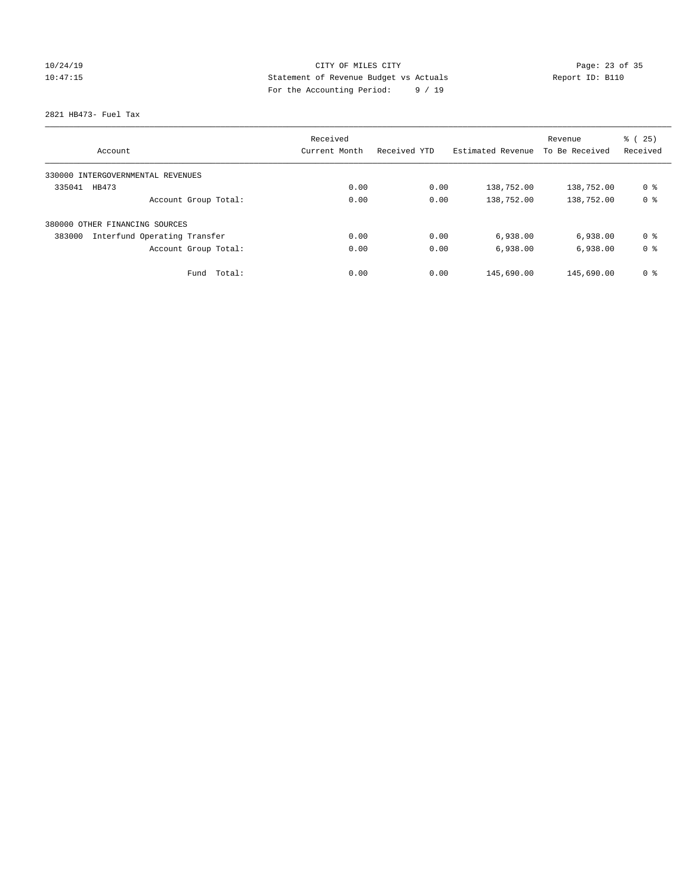## 10/24/19 Page: 23 of 35 10:47:15 Statement of Revenue Budget vs Actuals Report ID: B110 For the Accounting Period: 9 / 19

2821 HB473- Fuel Tax

|                                        | Received      |              |                   | Revenue        | % (25)         |
|----------------------------------------|---------------|--------------|-------------------|----------------|----------------|
| Account                                | Current Month | Received YTD | Estimated Revenue | To Be Received | Received       |
| 330000 INTERGOVERNMENTAL REVENUES      |               |              |                   |                |                |
| 335041<br>HB473                        | 0.00          | 0.00         | 138,752.00        | 138,752.00     | 0 %            |
| Account Group Total:                   | 0.00          | 0.00         | 138,752.00        | 138,752.00     | 0 <sup>8</sup> |
| 380000 OTHER FINANCING SOURCES         |               |              |                   |                |                |
| 383000<br>Interfund Operating Transfer | 0.00          | 0.00         | 6,938.00          | 6,938.00       | 0 <sup>8</sup> |
| Account Group Total:                   | 0.00          | 0.00         | 6,938.00          | 6,938.00       | 0 <sup>8</sup> |
| Total:<br>Fund                         | 0.00          | 0.00         | 145,690.00        | 145,690.00     | 0 <sup>8</sup> |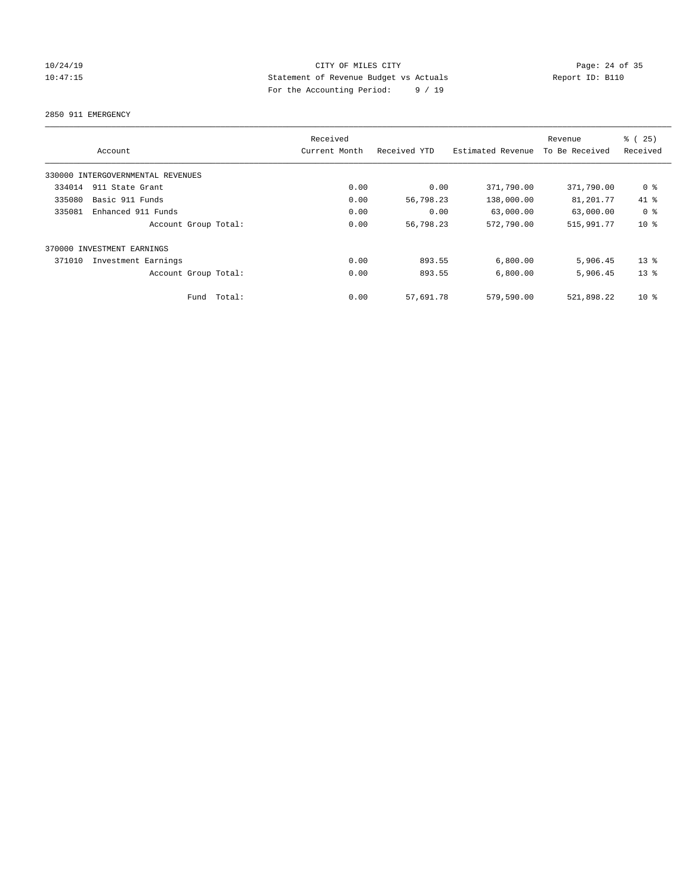## 10/24/19 **Page: 24 of 35** CITY OF MILES CITY **Page: 24 of 35** 10:47:15 Statement of Revenue Budget vs Actuals Report ID: B110 For the Accounting Period: 9 / 19

2850 911 EMERGENCY

|        | Account                           |        | Received<br>Current Month | Received YTD | Estimated Revenue | Revenue<br>To Be Received | % (25)<br>Received |
|--------|-----------------------------------|--------|---------------------------|--------------|-------------------|---------------------------|--------------------|
|        | 330000 INTERGOVERNMENTAL REVENUES |        |                           |              |                   |                           |                    |
| 334014 | 911 State Grant                   |        | 0.00                      | 0.00         | 371,790.00        | 371,790.00                | 0 %                |
| 335080 | Basic 911 Funds                   |        | 0.00                      | 56,798.23    | 138,000.00        | 81,201.77                 | 41 %               |
| 335081 | Enhanced 911 Funds                |        | 0.00                      | 0.00         | 63,000.00         | 63,000.00                 | 0 <sup>8</sup>     |
|        | Account Group Total:              |        | 0.00                      | 56,798.23    | 572,790.00        | 515,991.77                | $10*$              |
|        | 370000 INVESTMENT EARNINGS        |        |                           |              |                   |                           |                    |
| 371010 | Investment Earnings               |        | 0.00                      | 893.55       | 6,800.00          | 5,906.45                  | $13*$              |
|        | Account Group Total:              |        | 0.00                      | 893.55       | 6,800.00          | 5,906.45                  | $13*$              |
|        | Fund                              | Total: | 0.00                      | 57,691.78    | 579,590.00        | 521,898.22                | $10*$              |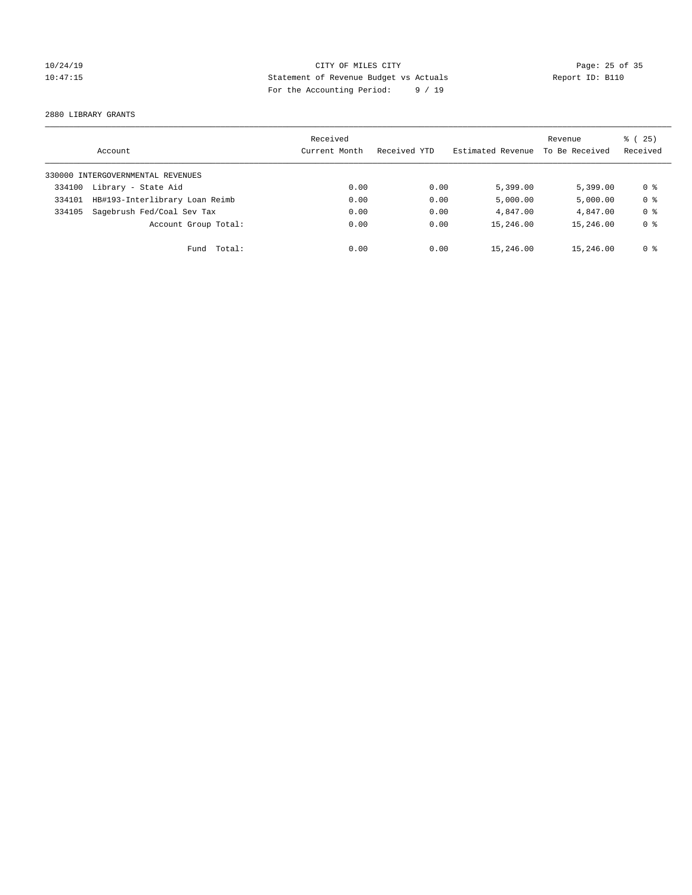## 10/24/19 **Page: 25 of 35** CITY OF MILES CITY **Page: 25 of 35** 10:47:15 Statement of Revenue Budget vs Actuals Report ID: B110 For the Accounting Period: 9 / 19

2880 LIBRARY GRANTS

|        | Account                           | Received<br>Current Month | Received YTD | Estimated Revenue | Revenue<br>To Be Received | 8 (25)<br>Received |
|--------|-----------------------------------|---------------------------|--------------|-------------------|---------------------------|--------------------|
|        | 330000 INTERGOVERNMENTAL REVENUES |                           |              |                   |                           |                    |
| 334100 | Library - State Aid               | 0.00                      | 0.00         | 5,399.00          | 5.399.00                  | 0 %                |
| 334101 | HB#193-Interlibrary Loan Reimb    | 0.00                      | 0.00         | 5,000.00          | 5,000.00                  | 0 <sup>8</sup>     |
| 334105 | Sagebrush Fed/Coal Sev Tax        | 0.00                      | 0.00         | 4,847.00          | 4,847.00                  | 0 <sup>8</sup>     |
|        | Account Group Total:              | 0.00                      | 0.00         | 15,246.00         | 15,246.00                 | 0 <sup>8</sup>     |
|        | Fund Total:                       | 0.00                      | 0.00         | 15,246.00         | 15,246.00                 | 0 %                |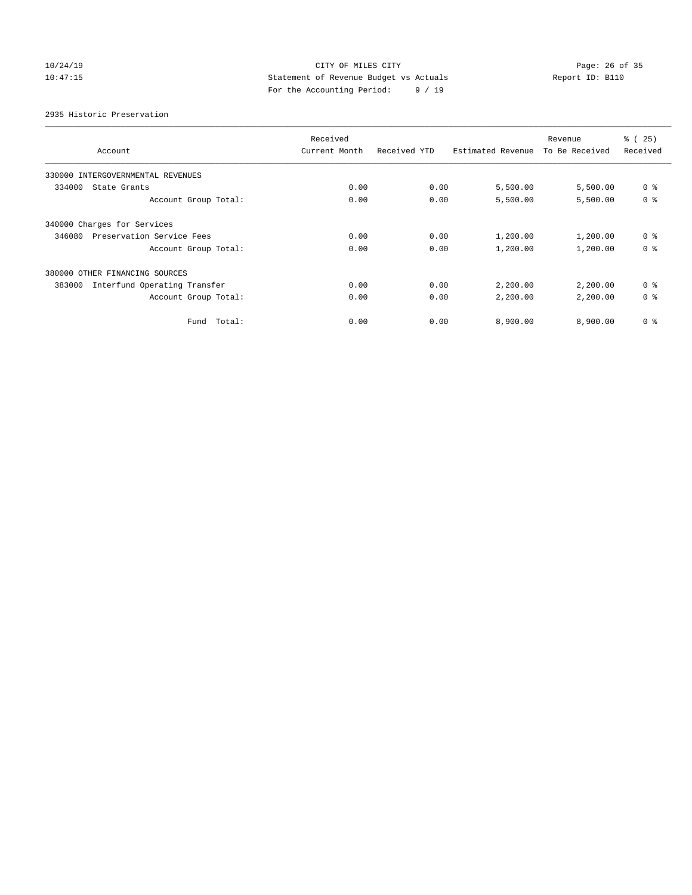## 10/24/19 **Page: 26 of 35** CITY OF MILES CITY **Page: 26 of 35** 10:47:15 Statement of Revenue Budget vs Actuals Report ID: B110 For the Accounting Period: 9 / 19

2935 Historic Preservation

|                                        | Received      |              |                   | Revenue        | % (25)         |
|----------------------------------------|---------------|--------------|-------------------|----------------|----------------|
| Account                                | Current Month | Received YTD | Estimated Revenue | To Be Received | Received       |
| 330000 INTERGOVERNMENTAL REVENUES      |               |              |                   |                |                |
| 334000<br>State Grants                 | 0.00          | 0.00         | 5,500.00          | 5,500.00       | 0 <sup>8</sup> |
| Account Group Total:                   | 0.00          | 0.00         | 5,500.00          | 5,500.00       | 0 <sup>8</sup> |
| 340000 Charges for Services            |               |              |                   |                |                |
| Preservation Service Fees<br>346080    | 0.00          | 0.00         | 1,200.00          | 1,200.00       | 0 <sup>8</sup> |
| Account Group Total:                   | 0.00          | 0.00         | 1,200.00          | 1,200.00       | 0 <sup>8</sup> |
| 380000 OTHER FINANCING SOURCES         |               |              |                   |                |                |
| Interfund Operating Transfer<br>383000 | 0.00          | 0.00         | 2,200.00          | 2,200.00       | 0 <sup>8</sup> |
| Account Group Total:                   | 0.00          | 0.00         | 2,200.00          | 2,200.00       | 0 <sup>8</sup> |
| Fund Total:                            | 0.00          | 0.00         | 8,900.00          | 8,900.00       | 0 <sup>8</sup> |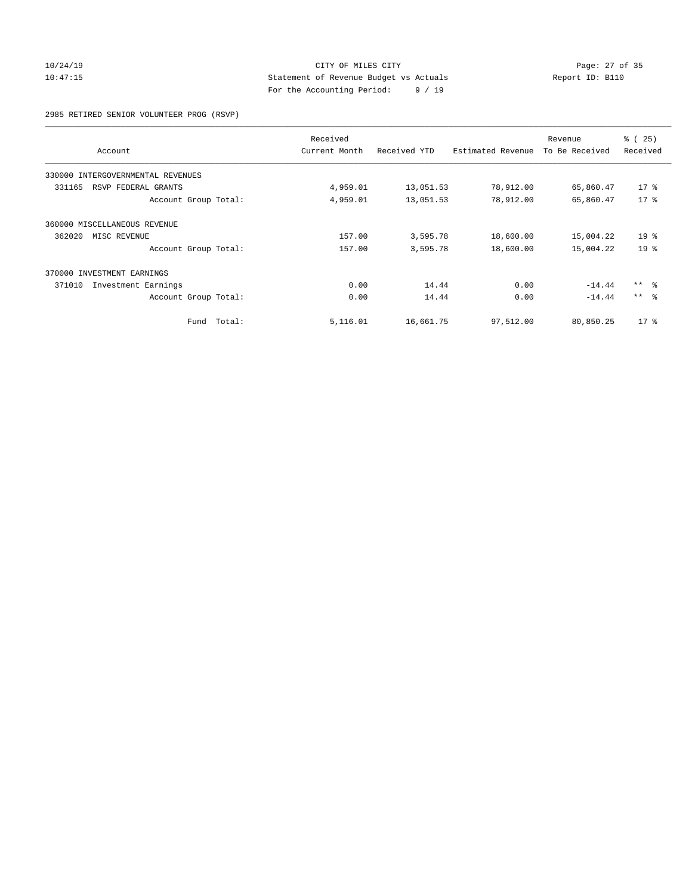## 10/24/19 Page: 27 of 35 10:47:15 Statement of Revenue Budget vs Actuals Report ID: B110 For the Accounting Period: 9 / 19

2985 RETIRED SENIOR VOLUNTEER PROG (RSVP)

| Account                           |        | Received<br>Current Month | Received YTD | Estimated Revenue | Revenue<br>To Be Received | % (25)<br>Received |
|-----------------------------------|--------|---------------------------|--------------|-------------------|---------------------------|--------------------|
|                                   |        |                           |              |                   |                           |                    |
| 330000 INTERGOVERNMENTAL REVENUES |        |                           |              |                   |                           |                    |
| 331165<br>RSVP FEDERAL GRANTS     |        | 4,959.01                  | 13,051.53    | 78,912.00         | 65,860.47                 | $17$ %             |
| Account Group Total:              |        | 4,959.01                  | 13,051.53    | 78,912.00         | 65,860.47                 | $17*$              |
| 360000 MISCELLANEOUS REVENUE      |        |                           |              |                   |                           |                    |
| 362020<br>MISC REVENUE            |        | 157.00                    | 3,595.78     | 18,600.00         | 15,004.22                 | 19 <sup>8</sup>    |
| Account Group Total:              |        | 157.00                    | 3,595.78     | 18,600.00         | 15,004.22                 | 19 <sup>8</sup>    |
| 370000 INVESTMENT EARNINGS        |        |                           |              |                   |                           |                    |
| 371010<br>Investment Earnings     |        | 0.00                      | 14.44        | 0.00              | $-14.44$                  | $***$ $ -$         |
| Account Group Total:              |        | 0.00                      | 14.44        | 0.00              | $-14.44$                  | $***$ $\approx$    |
| Fund                              | Total: | 5,116.01                  | 16,661.75    | 97,512.00         | 80,850.25                 | $17*$              |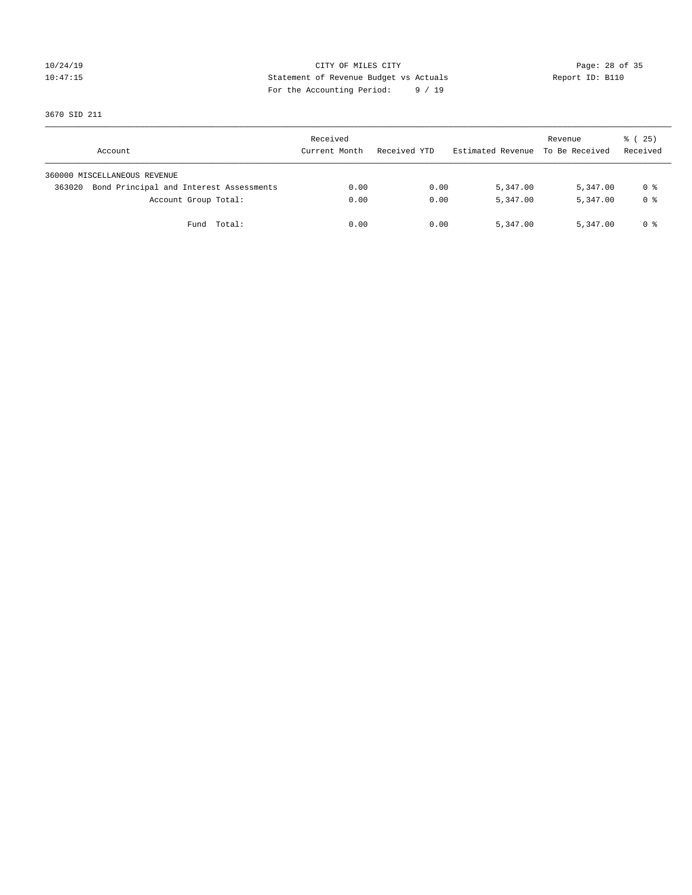## 10/24/19 Page: 28 of 35 10:47:15 Statement of Revenue Budget vs Actuals Report ID: B110 For the Accounting Period: 9 / 19

3670 SID 211

| Account                                           | Received<br>Current Month | Received YTD | Estimated Revenue | Revenue<br>To Be Received | 8 (25)<br>Received |
|---------------------------------------------------|---------------------------|--------------|-------------------|---------------------------|--------------------|
| 360000 MISCELLANEOUS REVENUE                      |                           |              |                   |                           |                    |
| Bond Principal and Interest Assessments<br>363020 | 0.00                      | 0.00         | 5,347.00          | 5,347.00                  | 0 %                |
| Account Group Total:                              | 0.00                      | 0.00         | 5,347.00          | 5,347.00                  | 0 %                |
| Total:<br>Fund                                    | 0.00                      | 0.00         | 5,347.00          | 5,347.00                  | 0 %                |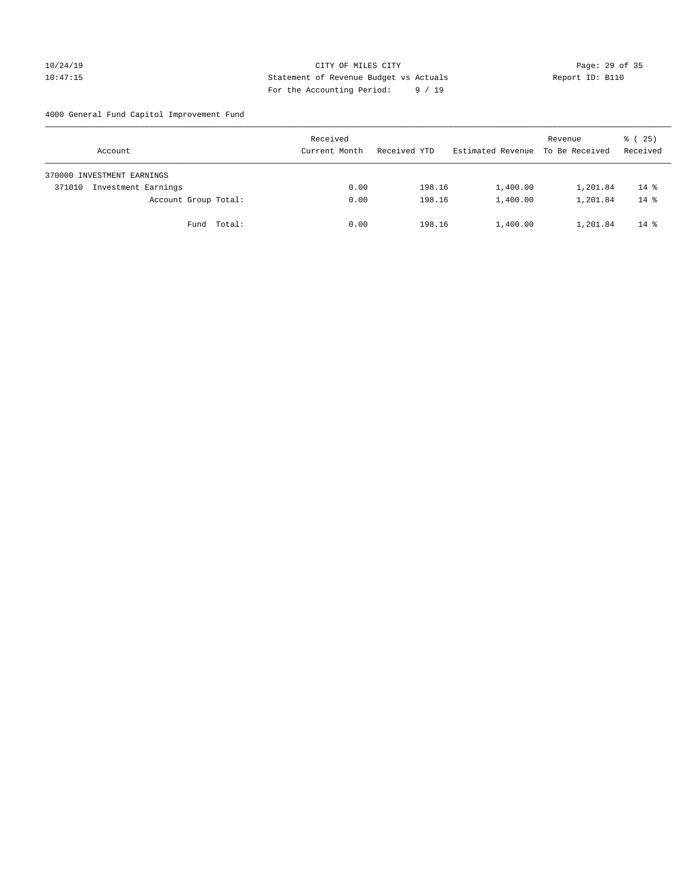## 10/24/19 **Page: 29 of 35** CITY OF MILES CITY **Page: 29 of 35** 10:47:15 Statement of Revenue Budget vs Actuals Report ID: B110 For the Accounting Period: 9 / 19

4000 General Fund Capitol Improvement Fund

| Account                       | Received<br>Current Month | Received YTD | Estimated Revenue | Revenue<br>To Be Received | $\frac{1}{6}$ ( 25)<br>Received |
|-------------------------------|---------------------------|--------------|-------------------|---------------------------|---------------------------------|
| 370000 INVESTMENT EARNINGS    |                           |              |                   |                           |                                 |
| Investment Earnings<br>371010 | 0.00                      | 198.16       | 1,400.00          | 1,201.84                  | $14*$                           |
| Account Group Total:          | 0.00                      | 198.16       | 1,400.00          | 1,201.84                  | $14*$                           |
| Fund Total:                   | 0.00                      | 198.16       | 1,400.00          | 1,201.84                  | $14*$                           |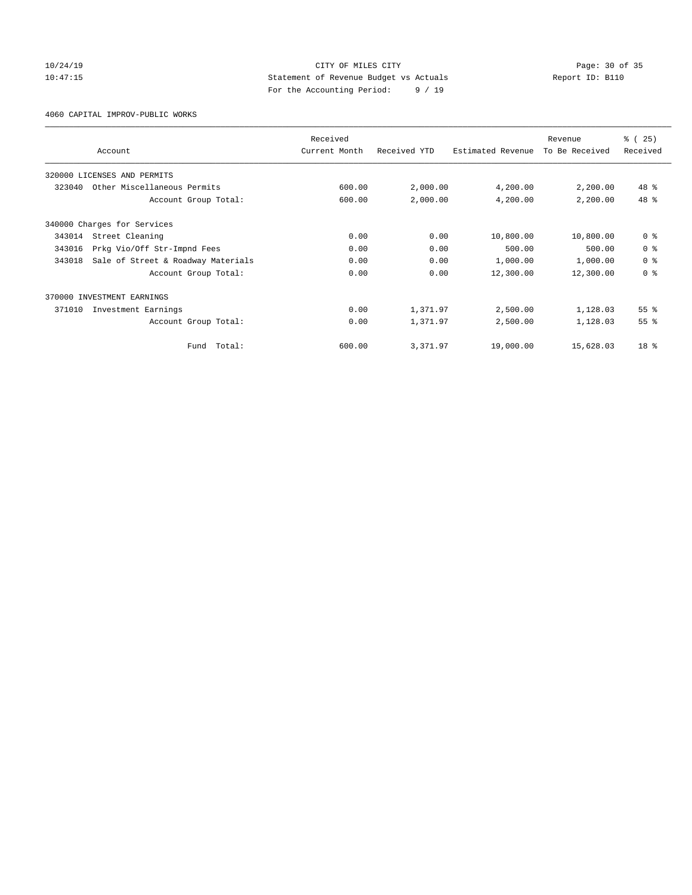## 10/24/19 **Page: 30 of 35** CITY OF MILES CITY **Page: 30 of 35** 10:47:15 Statement of Revenue Budget vs Actuals Report ID: B110 For the Accounting Period: 9 / 19

4060 CAPITAL IMPROV-PUBLIC WORKS

|        |                                    | Received      |              |                   | Revenue        | % (25)          |
|--------|------------------------------------|---------------|--------------|-------------------|----------------|-----------------|
|        | Account                            | Current Month | Received YTD | Estimated Revenue | To Be Received | Received        |
|        | 320000 LICENSES AND PERMITS        |               |              |                   |                |                 |
| 323040 | Other Miscellaneous Permits        | 600.00        | 2,000.00     | 4,200.00          | 2,200.00       | 48 %            |
|        | Account Group Total:               | 600.00        | 2,000.00     | 4,200.00          | 2,200.00       | 48 %            |
|        | 340000 Charges for Services        |               |              |                   |                |                 |
| 343014 | Street Cleaning                    | 0.00          | 0.00         | 10,800.00         | 10,800.00      | 0 <sup>8</sup>  |
| 343016 | Prkg Vio/Off Str-Impnd Fees        | 0.00          | 0.00         | 500.00            | 500.00         | 0 <sup>8</sup>  |
| 343018 | Sale of Street & Roadway Materials | 0.00          | 0.00         | 1,000.00          | 1,000.00       | 0 <sup>8</sup>  |
|        | Account Group Total:               | 0.00          | 0.00         | 12,300.00         | 12,300.00      | 0 <sup>8</sup>  |
|        | 370000 INVESTMENT EARNINGS         |               |              |                   |                |                 |
| 371010 | Investment Earnings                | 0.00          | 1,371.97     | 2,500.00          | 1,128.03       | 55 <sup>8</sup> |
|        | Account Group Total:               | 0.00          | 1,371.97     | 2,500.00          | 1,128.03       | 55 <sup>8</sup> |
|        | Total:<br>Fund                     | 600.00        | 3,371.97     | 19,000.00         | 15,628.03      | 18 <sup>8</sup> |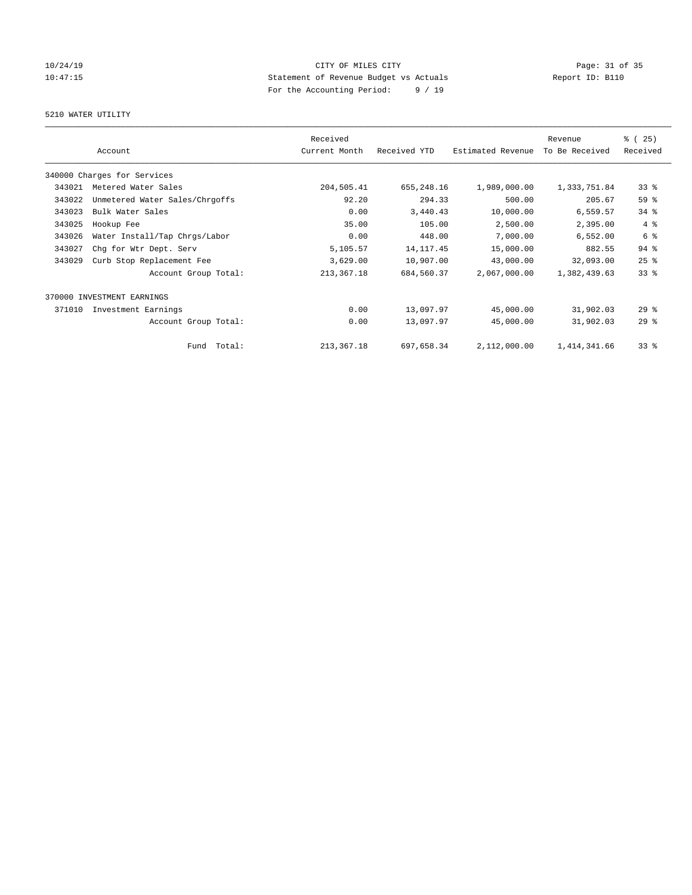## 10/24/19 Page: 31 of 35 10:47:15 Statement of Revenue Budget vs Actuals Report ID: B110 For the Accounting Period: 9 / 19

## 5210 WATER UTILITY

|        |                                | Received      |              |                   | Revenue        | % (25)          |
|--------|--------------------------------|---------------|--------------|-------------------|----------------|-----------------|
|        | Account                        | Current Month | Received YTD | Estimated Revenue | To Be Received | Received        |
|        | 340000 Charges for Services    |               |              |                   |                |                 |
| 343021 | Metered Water Sales            | 204,505.41    | 655,248.16   | 1,989,000.00      | 1,333,751.84   | 33 <sup>8</sup> |
| 343022 | Unmetered Water Sales/Chrgoffs | 92.20         | 294.33       | 500.00            | 205.67         | 59 %            |
| 343023 | Bulk Water Sales               | 0.00          | 3,440.43     | 10,000.00         | 6,559.57       | $34$ $%$        |
| 343025 | Hookup Fee                     | 35.00         | 105.00       | 2,500.00          | 2,395.00       | 4%              |
| 343026 | Water Install/Tap Chrgs/Labor  | 0.00          | 448.00       | 7,000.00          | 6,552.00       | 6 %             |
| 343027 | Chg for Wtr Dept. Serv         | 5,105.57      | 14, 117. 45  | 15,000.00         | 882.55         | 94.8            |
| 343029 | Curb Stop Replacement Fee      | 3,629.00      | 10,907.00    | 43,000.00         | 32,093.00      | $25$ $%$        |
|        | Account Group Total:           | 213, 367. 18  | 684,560.37   | 2,067,000.00      | 1,382,439.63   | 33 <sup>8</sup> |
| 370000 | INVESTMENT EARNINGS            |               |              |                   |                |                 |
| 371010 | Investment Earnings            | 0.00          | 13,097.97    | 45,000.00         | 31,902.03      | $29$ $%$        |
|        | Account Group Total:           | 0.00          | 13,097.97    | 45,000.00         | 31,902.03      | 29%             |
|        | Total:<br>Fund                 | 213, 367. 18  | 697,658.34   | 2,112,000.00      | 1, 414, 341.66 | 33 <sup>8</sup> |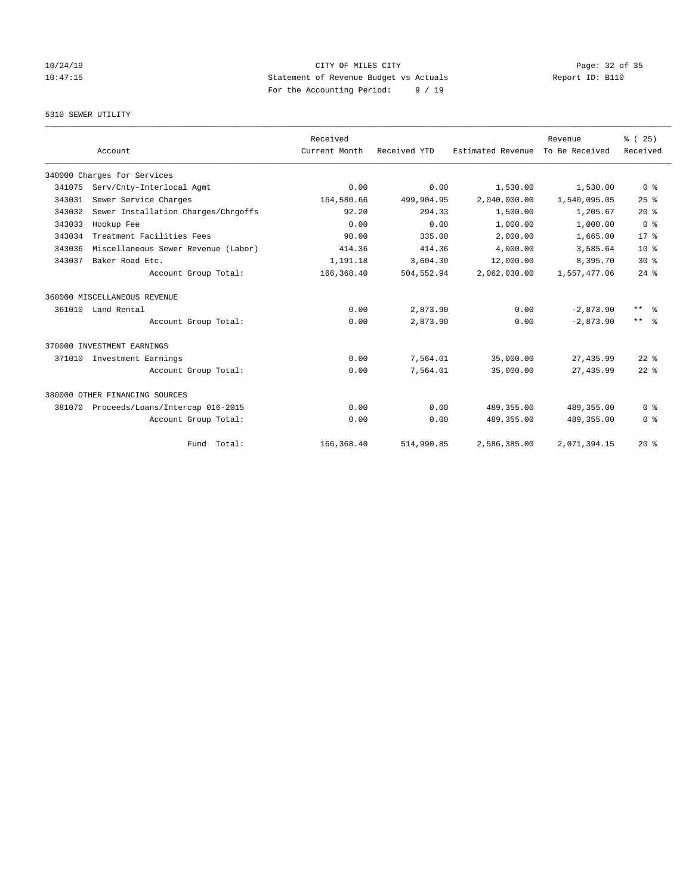## 10/24/19 **Page: 32 of 35** CITY OF MILES CITY **Page: 32 of 35** 10:47:15 Statement of Revenue Budget vs Actuals Report ID: B110 For the Accounting Period: 9 / 19

## 5310 SEWER UTILITY

|        |                                     | Received      |              |                   | Revenue        | % (25)                  |
|--------|-------------------------------------|---------------|--------------|-------------------|----------------|-------------------------|
|        | Account                             | Current Month | Received YTD | Estimated Revenue | To Be Received | Received                |
|        | 340000 Charges for Services         |               |              |                   |                |                         |
| 341075 | Serv/Cnty-Interlocal Agmt           | 0.00          | 0.00         | 1,530.00          | 1,530.00       | 0 <sup>8</sup>          |
| 343031 | Sewer Service Charges               | 164,580.66    | 499,904.95   | 2,040,000.00      | 1,540,095.05   | 25%                     |
| 343032 | Sewer Installation Charges/Chrgoffs | 92.20         | 294.33       | 1,500.00          | 1,205.67       | $20*$                   |
| 343033 | Hookup Fee                          | 0.00          | 0.00         | 1,000.00          | 1,000.00       | 0 <sup>8</sup>          |
| 343034 | Treatment Facilities Fees           | 90.00         | 335.00       | 2,000.00          | 1,665.00       | 17 <sup>8</sup>         |
| 343036 | Miscellaneous Sewer Revenue (Labor) | 414.36        | 414.36       | 4,000.00          | 3,585.64       | 10 <sup>8</sup>         |
| 343037 | Baker Road Etc.                     | 1,191.18      | 3,604.30     | 12,000.00         | 8,395.70       | $30*$                   |
|        | Account Group Total:                | 166,368.40    | 504,552.94   | 2,062,030.00      | 1,557,477.06   | $24$ %                  |
|        | 360000 MISCELLANEOUS REVENUE        |               |              |                   |                |                         |
|        | 361010 Land Rental                  | 0.00          | 2,873.90     | 0.00              | $-2,873.90$    | $***$ $=$ $\frac{6}{5}$ |
|        | Account Group Total:                | 0.00          | 2,873.90     | 0.00              | $-2.873.90$    | $***$<br>- 옹            |
|        | 370000 INVESTMENT EARNINGS          |               |              |                   |                |                         |
| 371010 | Investment Earnings                 | 0.00          | 7,564.01     | 35,000.00         | 27, 435.99     | $22$ $%$                |
|        | Account Group Total:                | 0.00          | 7,564.01     | 35,000.00         | 27, 435.99     | $22$ $%$                |
|        | 380000 OTHER FINANCING SOURCES      |               |              |                   |                |                         |
| 381070 | Proceeds/Loans/Intercap 016-2015    | 0.00          | 0.00         | 489, 355, 00      | 489, 355.00    | 0 <sup>8</sup>          |
|        | Account Group Total:                | 0.00          | 0.00         | 489, 355.00       | 489,355.00     | 0 <sup>8</sup>          |
|        | Fund Total:                         | 166, 368.40   | 514,990.85   | 2,586,385.00      | 2,071,394.15   | $20*$                   |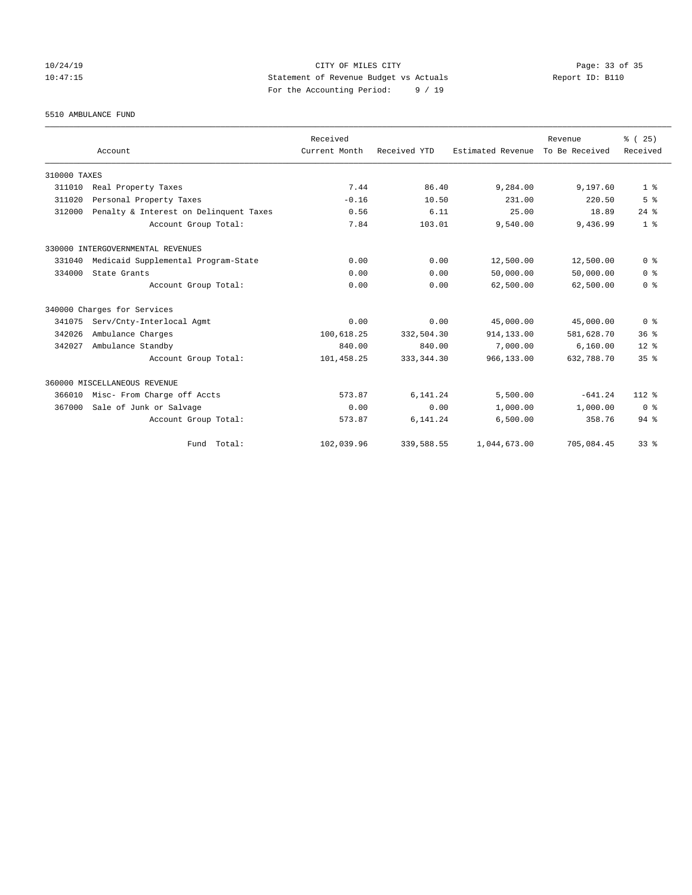## 10/24/19 Page: 33 of 35 10:47:15 Statement of Revenue Budget vs Actuals Report ID: B110 For the Accounting Period: 9 / 19

5510 AMBULANCE FUND

|              |                                        | Received      |              |                   | Revenue        | % (25)          |
|--------------|----------------------------------------|---------------|--------------|-------------------|----------------|-----------------|
|              | Account                                | Current Month | Received YTD | Estimated Revenue | To Be Received | Received        |
| 310000 TAXES |                                        |               |              |                   |                |                 |
| 311010       | Real Property Taxes                    | 7.44          | 86.40        | 9,284.00          | 9,197.60       | 1 <sup>8</sup>  |
| 311020       | Personal Property Taxes                | $-0.16$       | 10.50        | 231.00            | 220.50         | 5 <sup>8</sup>  |
| 312000       | Penalty & Interest on Delinquent Taxes | 0.56          | 6.11         | 25.00             | 18.89          | $24$ $%$        |
|              | Account Group Total:                   | 7.84          | 103.01       | 9,540.00          | 9,436.99       | 1 <sup>8</sup>  |
|              | 330000 INTERGOVERNMENTAL REVENUES      |               |              |                   |                |                 |
| 331040       | Medicaid Supplemental Program-State    | 0.00          | 0.00         | 12,500.00         | 12,500.00      | 0 <sup>8</sup>  |
| 334000       | State Grants                           | 0.00          | 0.00         | 50,000.00         | 50,000.00      | 0 <sup>8</sup>  |
|              | Account Group Total:                   | 0.00          | 0.00         | 62,500.00         | 62,500.00      | 0 <sup>8</sup>  |
|              | 340000 Charges for Services            |               |              |                   |                |                 |
| 341075       | Serv/Cnty-Interlocal Agmt              | 0.00          | 0.00         | 45,000.00         | 45,000.00      | 0 <sup>8</sup>  |
| 342026       | Ambulance Charges                      | 100,618.25    | 332,504.30   | 914, 133, 00      | 581,628.70     | 36 <sup>8</sup> |
| 342027       | Ambulance Standby                      | 840.00        | 840.00       | 7,000.00          | 6,160.00       | $12*$           |
|              | Account Group Total:                   | 101,458.25    | 333, 344.30  | 966,133.00        | 632,788.70     | 35 <sup>8</sup> |
|              | 360000 MISCELLANEOUS REVENUE           |               |              |                   |                |                 |
| 366010       | Misc- From Charge off Accts            | 573.87        | 6,141.24     | 5,500.00          | $-641.24$      | $112*$          |
| 367000       | Sale of Junk or Salvage                | 0.00          | 0.00         | 1,000.00          | 1,000.00       | 0 <sup>8</sup>  |
|              | Account Group Total:                   | 573.87        | 6,141.24     | 6,500.00          | 358.76         | 94.8            |
|              | Fund Total:                            | 102,039.96    | 339,588.55   | 1,044,673.00      | 705,084.45     | 33%             |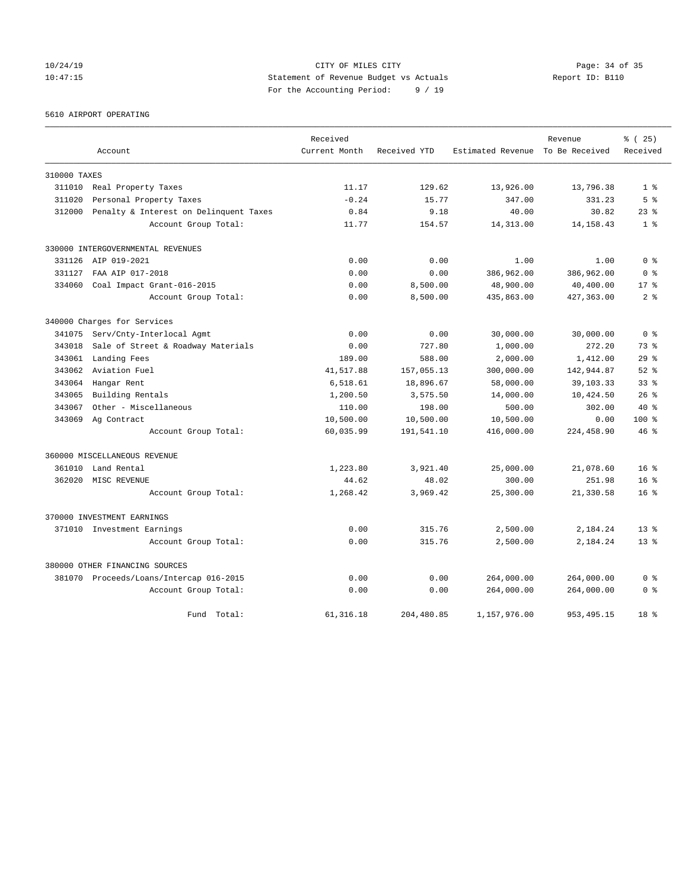## 10/24/19 **Page: 34 of 35** CITY OF MILES CITY **Page: 34 of 35** 10:47:15 Statement of Revenue Budget vs Actuals Report ID: B110 For the Accounting Period: 9 / 19

#### 5610 AIRPORT OPERATING

|              |                                         | Received      |              |                                  | Revenue     | % (25)          |
|--------------|-----------------------------------------|---------------|--------------|----------------------------------|-------------|-----------------|
|              | Account                                 | Current Month | Received YTD | Estimated Revenue To Be Received |             | Received        |
| 310000 TAXES |                                         |               |              |                                  |             |                 |
| 311010       | Real Property Taxes                     | 11.17         | 129.62       | 13,926.00                        | 13,796.38   | 1 <sup>8</sup>  |
| 311020       | Personal Property Taxes                 | $-0.24$       | 15.77        | 347.00                           | 331.23      | 5 <sup>8</sup>  |
| 312000       | Penalty & Interest on Delinquent Taxes  | 0.84          | 9.18         | 40.00                            | 30.82       | $23$ $%$        |
|              | Account Group Total:                    | 11.77         | 154.57       | 14, 313.00                       | 14, 158. 43 | 1 <sup>8</sup>  |
|              | 330000 INTERGOVERNMENTAL REVENUES       |               |              |                                  |             |                 |
| 331126       | AIP 019-2021                            | 0.00          | 0.00         | 1.00                             | 1.00        | 0 <sup>8</sup>  |
| 331127       | FAA AIP 017-2018                        | 0.00          | 0.00         | 386,962.00                       | 386,962.00  | 0 <sup>8</sup>  |
| 334060       | Coal Impact Grant-016-2015              | 0.00          | 8,500.00     | 48,900.00                        | 40,400.00   | $17*$           |
|              | Account Group Total:                    | 0.00          | 8,500.00     | 435,863.00                       | 427,363.00  | 2 <sup>8</sup>  |
|              | 340000 Charges for Services             |               |              |                                  |             |                 |
| 341075       | Serv/Cnty-Interlocal Agmt               | 0.00          | 0.00         | 30,000.00                        | 30,000.00   | 0 <sup>8</sup>  |
| 343018       | Sale of Street & Roadway Materials      | 0.00          | 727.80       | 1,000.00                         | 272.20      | 73.8            |
| 343061       | Landing Fees                            | 189.00        | 588.00       | 2,000.00                         | 1,412.00    | $29$ $%$        |
| 343062       | Aviation Fuel                           | 41,517.88     | 157,055.13   | 300,000.00                       | 142,944.87  | $52$ $%$        |
| 343064       | Hangar Rent                             | 6,518.61      | 18,896.67    | 58,000.00                        | 39, 103. 33 | 33 <sup>8</sup> |
| 343065       | Building Rentals                        | 1,200.50      | 3,575.50     | 14,000.00                        | 10,424.50   | 26%             |
| 343067       | Other - Miscellaneous                   | 110.00        | 198.00       | 500.00                           | 302.00      | $40*$           |
| 343069       | Ag Contract                             | 10,500.00     | 10,500.00    | 10,500.00                        | 0.00        | $100$ %         |
|              | Account Group Total:                    | 60,035.99     | 191,541.10   | 416,000.00                       | 224,458.90  | $46*$           |
|              | 360000 MISCELLANEOUS REVENUE            |               |              |                                  |             |                 |
|              | 361010 Land Rental                      | 1,223.80      | 3,921.40     | 25,000.00                        | 21,078.60   | 16 <sup>8</sup> |
| 362020       | MISC REVENUE                            | 44.62         | 48.02        | 300.00                           | 251.98      | $16*$           |
|              | Account Group Total:                    | 1,268.42      | 3,969.42     | 25,300.00                        | 21,330.58   | $16*$           |
|              | 370000 INVESTMENT EARNINGS              |               |              |                                  |             |                 |
|              | 371010 Investment Earnings              | 0.00          | 315.76       | 2,500.00                         | 2,184.24    | $13*$           |
|              | Account Group Total:                    | 0.00          | 315.76       | 2,500.00                         | 2,184.24    | $13*$           |
|              | 380000 OTHER FINANCING SOURCES          |               |              |                                  |             |                 |
|              | 381070 Proceeds/Loans/Intercap 016-2015 | 0.00          | 0.00         | 264,000.00                       | 264,000.00  | 0 <sup>8</sup>  |
|              | Account Group Total:                    | 0.00          | 0.00         | 264,000.00                       | 264,000.00  | 0 <sup>8</sup>  |
|              | Fund Total:                             | 61, 316.18    | 204,480.85   | 1,157,976.00                     | 953, 495.15 | 18 %            |